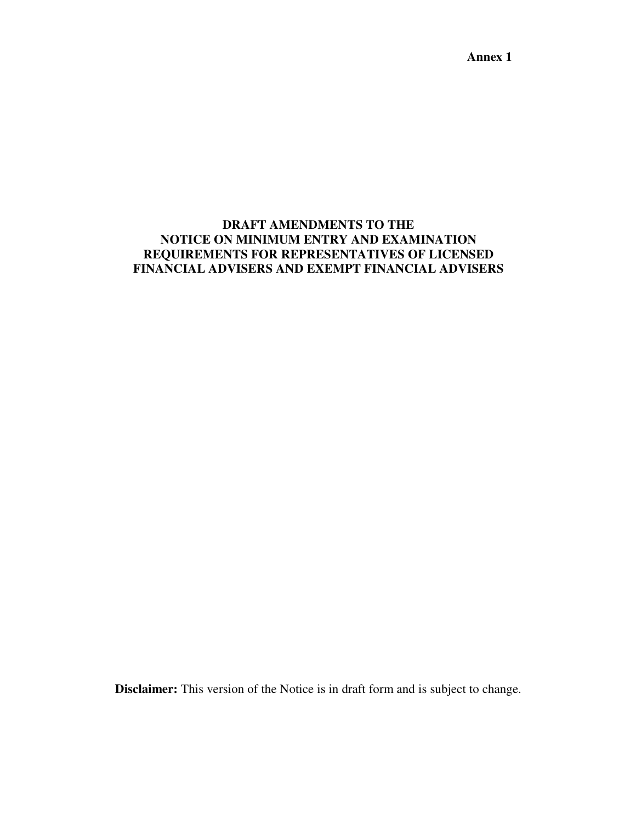**Annex 1** 

# **DRAFT AMENDMENTS TO THE NOTICE ON MINIMUM ENTRY AND EXAMINATION REQUIREMENTS FOR REPRESENTATIVES OF LICENSED FINANCIAL ADVISERS AND EXEMPT FINANCIAL ADVISERS**

**Disclaimer:** This version of the Notice is in draft form and is subject to change.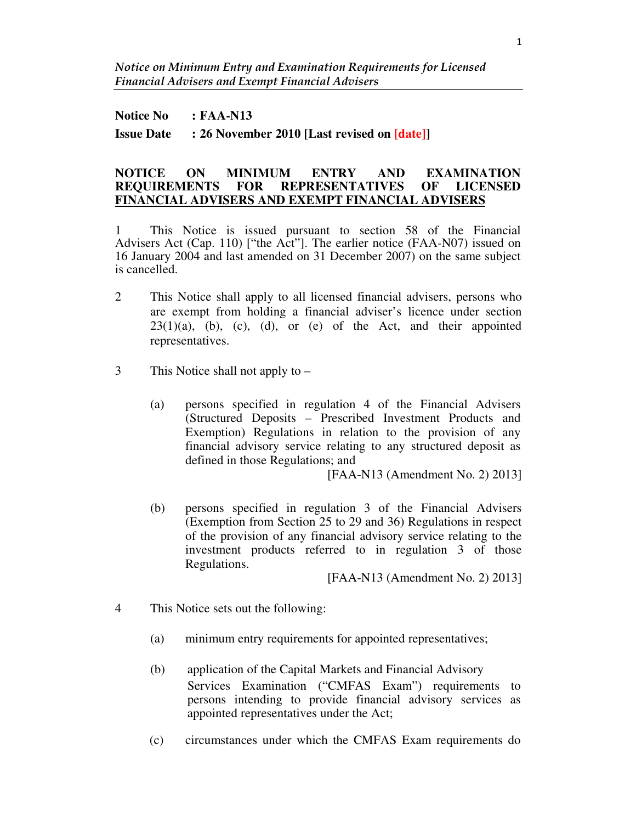#### **Notice No : FAA-N13**

**Issue Date : 26 November 2010 [Last revised on [date]]**

#### **NOTICE ON MINIMUM ENTRY AND EXAMINATION REQUIREMENTS FOR REPRESENTATIVES OF LICENSED FINANCIAL ADVISERS AND EXEMPT FINANCIAL ADVISERS**

1 This Notice is issued pursuant to section 58 of the Financial Advisers Act (Cap. 110) ["the Act"]. The earlier notice (FAA-N07) issued on 16 January 2004 and last amended on 31 December 2007) on the same subject is cancelled.

- 2 This Notice shall apply to all licensed financial advisers, persons who are exempt from holding a financial adviser's licence under section  $23(1)(a)$ , (b), (c), (d), or (e) of the Act, and their appointed representatives.
- 3 This Notice shall not apply to
	- (a) persons specified in regulation 4 of the Financial Advisers (Structured Deposits – Prescribed Investment Products and Exemption) Regulations in relation to the provision of any financial advisory service relating to any structured deposit as defined in those Regulations; and

[FAA-N13 (Amendment No. 2) 2013]

(b) persons specified in regulation 3 of the Financial Advisers (Exemption from Section 25 to 29 and 36) Regulations in respect of the provision of any financial advisory service relating to the investment products referred to in regulation 3 of those Regulations.

[FAA-N13 (Amendment No. 2) 2013]

- 4 This Notice sets out the following:
	- (a) minimum entry requirements for appointed representatives;
	- (b) application of the Capital Markets and Financial Advisory Services Examination ("CMFAS Exam") requirements to persons intending to provide financial advisory services as appointed representatives under the Act;
	- (c) circumstances under which the CMFAS Exam requirements do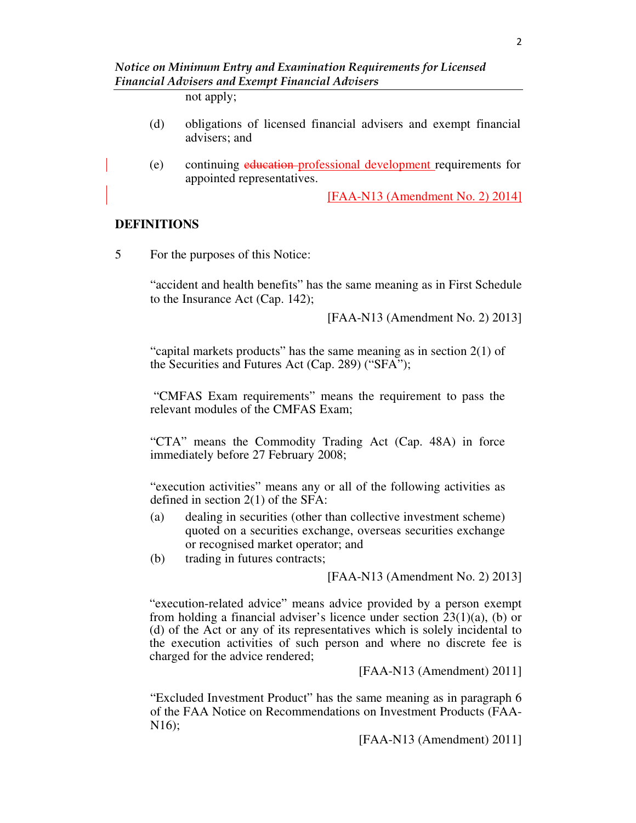not apply;

- (d) obligations of licensed financial advisers and exempt financial advisers; and
- (e) continuing education professional development requirements for appointed representatives.

[FAA-N13 (Amendment No. 2) 2014]

#### **DEFINITIONS**

5 For the purposes of this Notice:

"accident and health benefits" has the same meaning as in First Schedule to the Insurance Act (Cap. 142);

[FAA-N13 (Amendment No. 2) 2013]

"capital markets products" has the same meaning as in section 2(1) of the Securities and Futures Act (Cap. 289) ("SFA");

"CMFAS Exam requirements" means the requirement to pass the relevant modules of the CMFAS Exam;

"CTA" means the Commodity Trading Act (Cap. 48A) in force immediately before 27 February 2008;

"execution activities" means any or all of the following activities as defined in section 2(1) of the SFA:

- (a) dealing in securities (other than collective investment scheme) quoted on a securities exchange, overseas securities exchange or recognised market operator; and
- (b) trading in futures contracts;

[FAA-N13 (Amendment No. 2) 2013]

"execution-related advice" means advice provided by a person exempt from holding a financial adviser's licence under section 23(1)(a), (b) or (d) of the Act or any of its representatives which is solely incidental to the execution activities of such person and where no discrete fee is charged for the advice rendered;

[FAA-N13 (Amendment) 2011]

"Excluded Investment Product" has the same meaning as in paragraph 6 of the FAA Notice on Recommendations on Investment Products (FAA-N16);

[FAA-N13 (Amendment) 2011]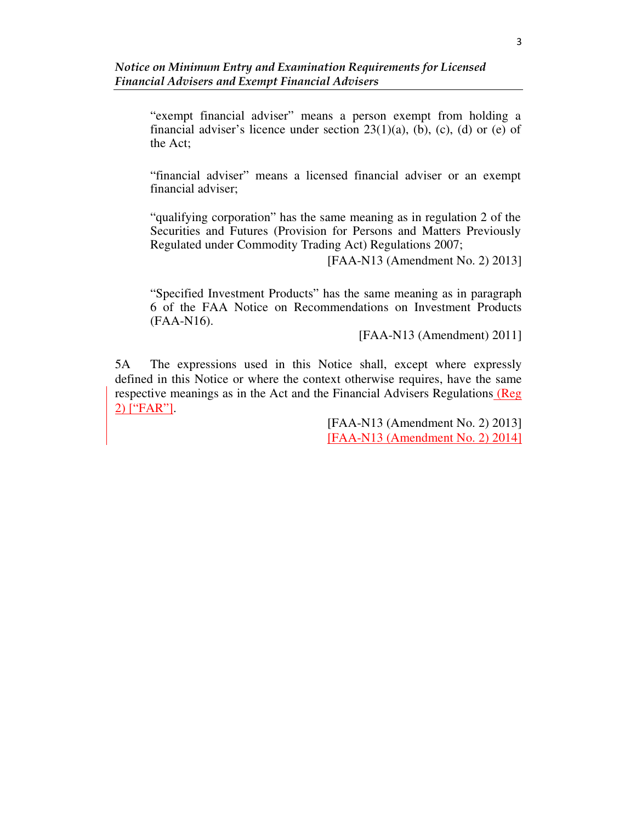"exempt financial adviser" means a person exempt from holding a financial adviser's licence under section  $23(1)(a)$ , (b), (c), (d) or (e) of the Act;

"financial adviser" means a licensed financial adviser or an exempt financial adviser;

"qualifying corporation" has the same meaning as in regulation 2 of the Securities and Futures (Provision for Persons and Matters Previously Regulated under Commodity Trading Act) Regulations 2007;

[FAA-N13 (Amendment No. 2) 2013]

"Specified Investment Products" has the same meaning as in paragraph 6 of the FAA Notice on Recommendations on Investment Products (FAA-N16).

[FAA-N13 (Amendment) 2011]

5A The expressions used in this Notice shall, except where expressly defined in this Notice or where the context otherwise requires, have the same respective meanings as in the Act and the Financial Advisers Regulations (Reg 2) ["FAR"].

> [FAA-N13 (Amendment No. 2) 2013] [FAA-N13 (Amendment No. 2) 2014]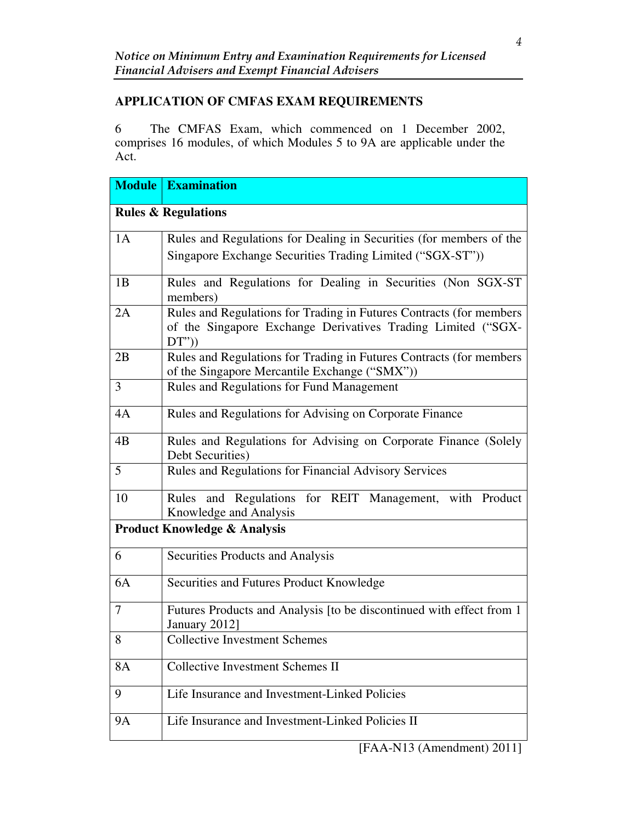# **APPLICATION OF CMFAS EXAM REQUIREMENTS**

6 The CMFAS Exam, which commenced on 1 December 2002, comprises 16 modules, of which Modules 5 to 9A are applicable under the Act.

| <b>Module</b>                  | <b>Examination</b>                                                                                                                           |  |  |  |  |  |  |
|--------------------------------|----------------------------------------------------------------------------------------------------------------------------------------------|--|--|--|--|--|--|
| <b>Rules &amp; Regulations</b> |                                                                                                                                              |  |  |  |  |  |  |
| 1A                             | Rules and Regulations for Dealing in Securities (for members of the<br>Singapore Exchange Securities Trading Limited ("SGX-ST"))             |  |  |  |  |  |  |
| 1B                             | Rules and Regulations for Dealing in Securities (Non SGX-ST<br>members)                                                                      |  |  |  |  |  |  |
| 2A                             | Rules and Regulations for Trading in Futures Contracts (for members<br>of the Singapore Exchange Derivatives Trading Limited ("SGX-<br>DT'') |  |  |  |  |  |  |
| 2B                             | Rules and Regulations for Trading in Futures Contracts (for members<br>of the Singapore Mercantile Exchange ("SMX"))                         |  |  |  |  |  |  |
| 3                              | Rules and Regulations for Fund Management                                                                                                    |  |  |  |  |  |  |
| 4A                             | Rules and Regulations for Advising on Corporate Finance                                                                                      |  |  |  |  |  |  |
| 4B                             | Rules and Regulations for Advising on Corporate Finance (Solely<br>Debt Securities)                                                          |  |  |  |  |  |  |
| 5                              | Rules and Regulations for Financial Advisory Services                                                                                        |  |  |  |  |  |  |
| 10                             | Rules and Regulations for REIT Management, with Product<br>Knowledge and Analysis                                                            |  |  |  |  |  |  |
|                                | <b>Product Knowledge &amp; Analysis</b>                                                                                                      |  |  |  |  |  |  |
| 6                              | <b>Securities Products and Analysis</b>                                                                                                      |  |  |  |  |  |  |
| 6A                             | Securities and Futures Product Knowledge                                                                                                     |  |  |  |  |  |  |
| $\overline{7}$                 | Futures Products and Analysis [to be discontinued with effect from 1<br>January 2012]                                                        |  |  |  |  |  |  |
| 8                              | <b>Collective Investment Schemes</b>                                                                                                         |  |  |  |  |  |  |
| 8A                             | Collective Investment Schemes II                                                                                                             |  |  |  |  |  |  |
| 9                              | Life Insurance and Investment-Linked Policies                                                                                                |  |  |  |  |  |  |
| <b>9A</b>                      | Life Insurance and Investment-Linked Policies II                                                                                             |  |  |  |  |  |  |

[FAA-N13 (Amendment) 2011]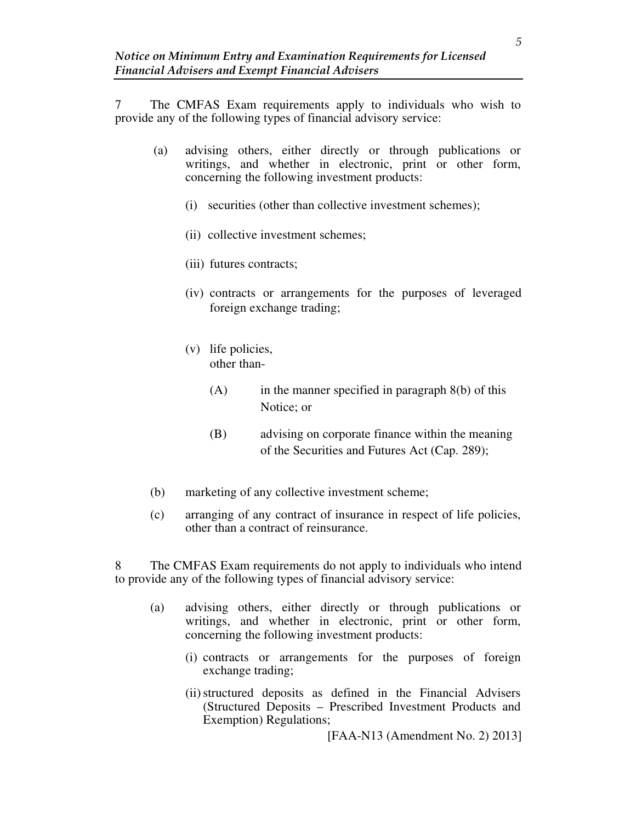7 The CMFAS Exam requirements apply to individuals who wish to provide any of the following types of financial advisory service:

- (a) advising others, either directly or through publications or writings, and whether in electronic, print or other form, concerning the following investment products:
	- (i) securities (other than collective investment schemes);
	- (ii) collective investment schemes;
	- (iii) futures contracts;
	- (iv) contracts or arrangements for the purposes of leveraged foreign exchange trading;
	- (v) life policies, other than-
		- $(A)$  in the manner specified in paragraph  $8(b)$  of this Notice; or
		- (B) advising on corporate finance within the meaning of the Securities and Futures Act (Cap. 289);
- (b) marketing of any collective investment scheme;
- (c) arranging of any contract of insurance in respect of life policies, other than a contract of reinsurance.

8 The CMFAS Exam requirements do not apply to individuals who intend to provide any of the following types of financial advisory service:

- (a) advising others, either directly or through publications or writings, and whether in electronic, print or other form, concerning the following investment products:
	- (i) contracts or arrangements for the purposes of foreign exchange trading;
	- (ii)structured deposits as defined in the Financial Advisers (Structured Deposits – Prescribed Investment Products and Exemption) Regulations;

[FAA-N13 (Amendment No. 2) 2013]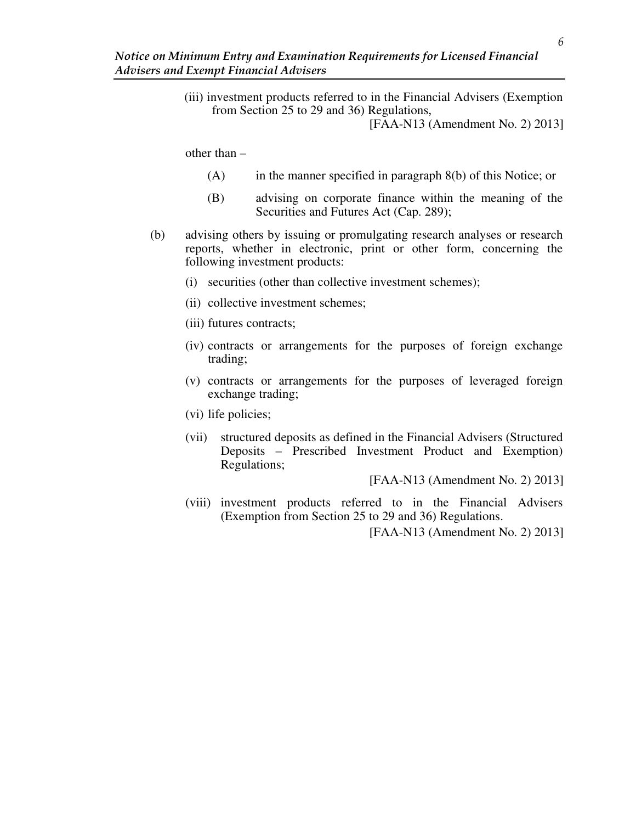(iii) investment products referred to in the Financial Advisers (Exemption from Section 25 to 29 and 36) Regulations,

[FAA-N13 (Amendment No. 2) 2013]

other than –

- $(A)$  in the manner specified in paragraph 8(b) of this Notice; or
- (B) advising on corporate finance within the meaning of the Securities and Futures Act (Cap. 289);
- (b) advising others by issuing or promulgating research analyses or research reports, whether in electronic, print or other form, concerning the following investment products:
	- (i) securities (other than collective investment schemes);
	- (ii) collective investment schemes;
	- (iii) futures contracts;
	- (iv) contracts or arrangements for the purposes of foreign exchange trading;
	- (v) contracts or arrangements for the purposes of leveraged foreign exchange trading;
	- (vi) life policies;
	- (vii) structured deposits as defined in the Financial Advisers (Structured Deposits – Prescribed Investment Product and Exemption) Regulations;

[FAA-N13 (Amendment No. 2) 2013]

(viii) investment products referred to in the Financial Advisers (Exemption from Section 25 to 29 and 36) Regulations.

[FAA-N13 (Amendment No. 2) 2013]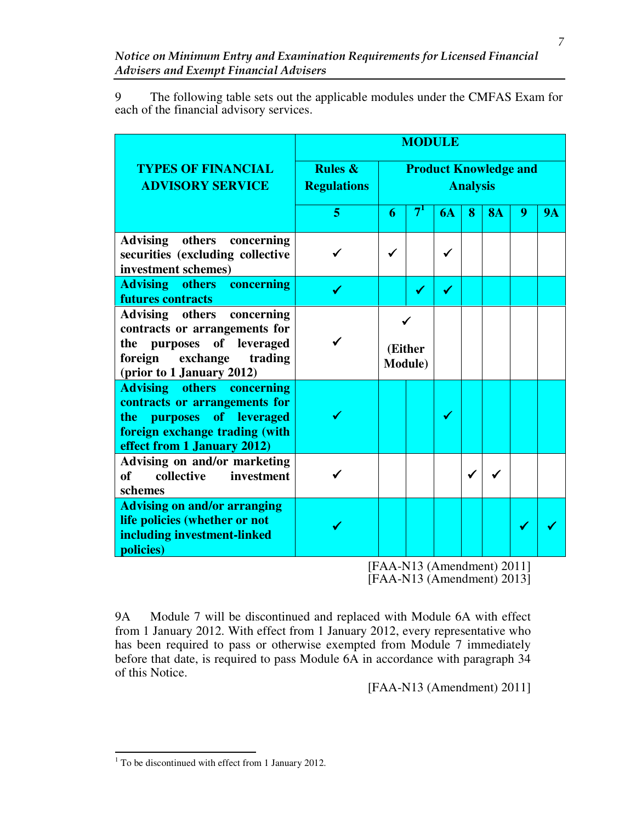9 The following table sets out the applicable modules under the CMFAS Exam for each of the financial advisory services.

|                                                                                                                                                                     | <b>MODULE</b>                            |                                                 |           |   |           |   |           |
|---------------------------------------------------------------------------------------------------------------------------------------------------------------------|------------------------------------------|-------------------------------------------------|-----------|---|-----------|---|-----------|
| <b>TYPES OF FINANCIAL</b><br><b>ADVISORY SERVICE</b>                                                                                                                | <b>Rules &amp;</b><br><b>Regulations</b> | <b>Product Knowledge and</b><br><b>Analysis</b> |           |   |           |   |           |
|                                                                                                                                                                     | 5                                        | 7'<br>6                                         | <b>6A</b> | 8 | <b>8A</b> | 9 | <b>9A</b> |
| Advising others concerning<br>securities (excluding collective<br>investment schemes)                                                                               |                                          | ✓                                               |           |   |           |   |           |
| <b>Advising others concerning</b><br>futures contracts                                                                                                              |                                          |                                                 | ✔         |   |           |   |           |
| Advising others concerning<br>contracts or arrangements for<br>the purposes of leveraged<br>foreign<br>exchange<br>trading<br>(prior to 1 January 2012)             |                                          | (Either<br><b>Module</b> )                      |           |   |           |   |           |
| <b>Advising others concerning</b><br>contracts or arrangements for<br>purposes of leveraged<br>the<br>foreign exchange trading (with<br>effect from 1 January 2012) |                                          |                                                 | ✔         |   |           |   |           |
| Advising on and/or marketing<br>collective<br>investment<br><b>of</b><br>schemes                                                                                    |                                          |                                                 |           |   |           |   |           |
| <b>Advising on and/or arranging</b><br>life policies (whether or not<br>including investment-linked<br>policies)                                                    |                                          | $\mathbf{X}$ and $\mathbf{X}$                   |           |   |           |   |           |

[FAA-N13 (Amendment) 2011] [FAA-N13 (Amendment) 2013]

9A Module 7 will be discontinued and replaced with Module 6A with effect from 1 January 2012. With effect from 1 January 2012, every representative who has been required to pass or otherwise exempted from Module 7 immediately before that date, is required to pass Module 6A in accordance with paragraph 34 of this Notice.

[FAA-N13 (Amendment) 2011]

<sup>&</sup>lt;sup>1</sup> To be discontinued with effect from 1 January 2012.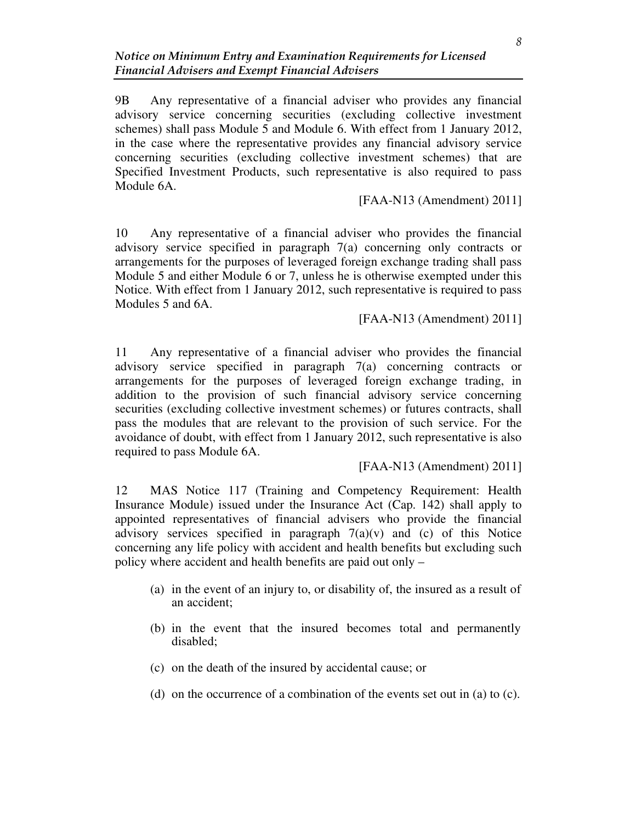9B Any representative of a financial adviser who provides any financial advisory service concerning securities (excluding collective investment schemes) shall pass Module 5 and Module 6. With effect from 1 January 2012, in the case where the representative provides any financial advisory service concerning securities (excluding collective investment schemes) that are Specified Investment Products, such representative is also required to pass Module 6A.

## [FAA-N13 (Amendment) 2011]

10 Any representative of a financial adviser who provides the financial advisory service specified in paragraph 7(a) concerning only contracts or arrangements for the purposes of leveraged foreign exchange trading shall pass Module 5 and either Module 6 or 7, unless he is otherwise exempted under this Notice. With effect from 1 January 2012, such representative is required to pass Modules 5 and 6A.

### [FAA-N13 (Amendment) 2011]

11 Any representative of a financial adviser who provides the financial advisory service specified in paragraph 7(a) concerning contracts or arrangements for the purposes of leveraged foreign exchange trading, in addition to the provision of such financial advisory service concerning securities (excluding collective investment schemes) or futures contracts, shall pass the modules that are relevant to the provision of such service. For the avoidance of doubt, with effect from 1 January 2012, such representative is also required to pass Module 6A.

[FAA-N13 (Amendment) 2011]

12 MAS Notice 117 (Training and Competency Requirement: Health Insurance Module) issued under the Insurance Act (Cap. 142) shall apply to appointed representatives of financial advisers who provide the financial advisory services specified in paragraph  $7(a)(v)$  and (c) of this Notice concerning any life policy with accident and health benefits but excluding such policy where accident and health benefits are paid out only –

- (a) in the event of an injury to, or disability of, the insured as a result of an accident;
- (b) in the event that the insured becomes total and permanently disabled;
- (c) on the death of the insured by accidental cause; or
- (d) on the occurrence of a combination of the events set out in (a) to (c).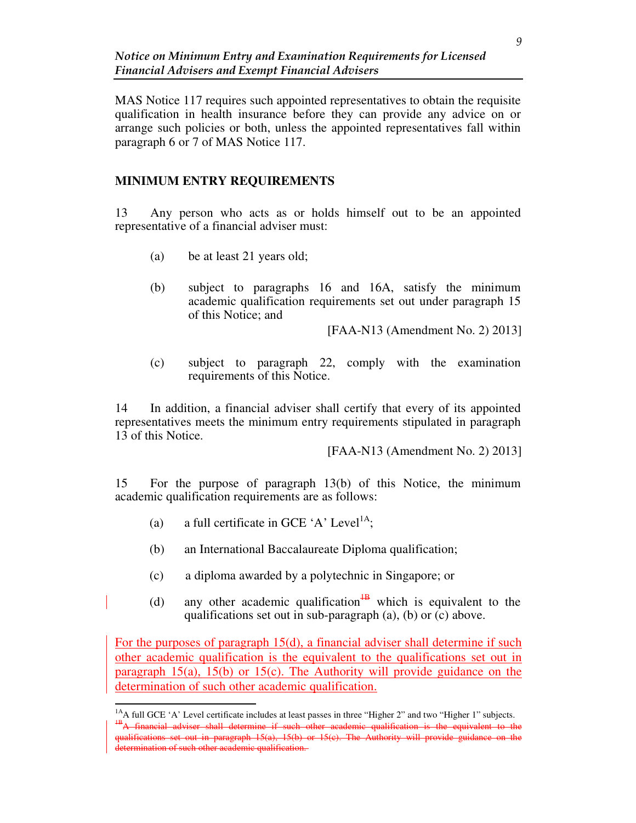MAS Notice 117 requires such appointed representatives to obtain the requisite qualification in health insurance before they can provide any advice on or arrange such policies or both, unless the appointed representatives fall within paragraph 6 or 7 of MAS Notice 117.

## **MINIMUM ENTRY REQUIREMENTS**

13 Any person who acts as or holds himself out to be an appointed representative of a financial adviser must:

- (a) be at least 21 years old;
- (b) subject to paragraphs 16 and 16A, satisfy the minimum academic qualification requirements set out under paragraph 15 of this Notice; and

[FAA-N13 (Amendment No. 2) 2013]

(c) subject to paragraph 22, comply with the examination requirements of this Notice.

14 In addition, a financial adviser shall certify that every of its appointed representatives meets the minimum entry requirements stipulated in paragraph 13 of this Notice.

[FAA-N13 (Amendment No. 2) 2013]

15 For the purpose of paragraph 13(b) of this Notice, the minimum academic qualification requirements are as follows:

(a) a full certificate in GCE 'A' Level<sup>1A</sup>;

 $\overline{a}$ 

- (b) an International Baccalaureate Diploma qualification;
- (c) a diploma awarded by a polytechnic in Singapore; or
- (d) any other academic qualification<sup> $\frac{1}{B}$ </sup> which is equivalent to the qualifications set out in sub-paragraph (a), (b) or (c) above.

For the purposes of paragraph 15(d), a financial adviser shall determine if such other academic qualification is the equivalent to the qualifications set out in paragraph  $15(a)$ ,  $15(b)$  or  $15(c)$ . The Authority will provide guidance on the determination of such other academic qualification.

<sup>&</sup>lt;sup>1A</sup>A full GCE 'A' Level certificate includes at least passes in three "Higher 2" and two "Higher 1" subjects. <sup>4B</sup>A financial adviser shall determine if such other academic qualification is the equivalent to the qualifications set out in paragraph 15(a), 15(b) or 15(c). The Authority will provide guidance on the determination of such other academic qualification.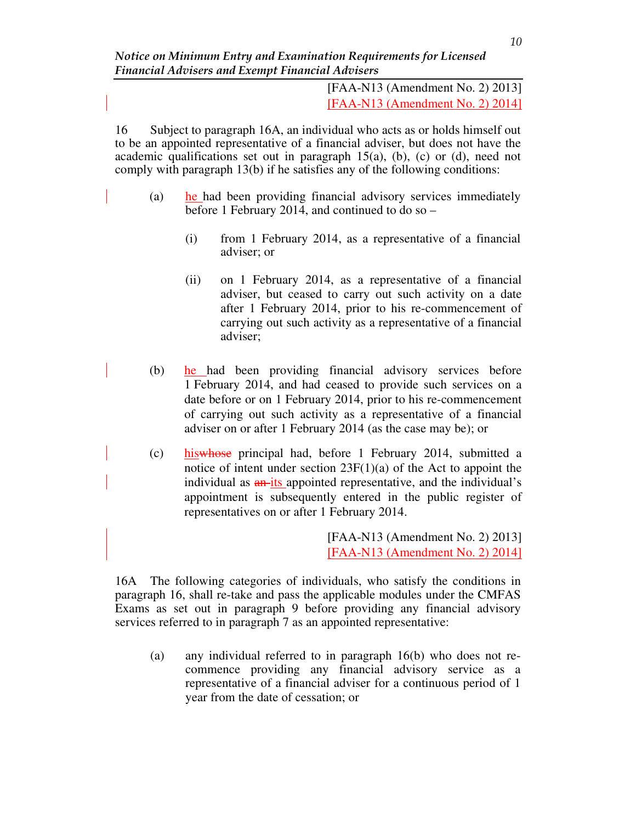[FAA-N13 (Amendment No. 2) 2013] [FAA-N13 (Amendment No. 2) 2014]

16 Subject to paragraph 16A, an individual who acts as or holds himself out to be an appointed representative of a financial adviser, but does not have the academic qualifications set out in paragraph  $15(a)$ , (b), (c) or (d), need not comply with paragraph 13(b) if he satisfies any of the following conditions:

- (a) he had been providing financial advisory services immediately before 1 February 2014, and continued to do so –
	- (i) from 1 February 2014, as a representative of a financial adviser; or
	- (ii) on 1 February 2014, as a representative of a financial adviser, but ceased to carry out such activity on a date after 1 February 2014, prior to his re-commencement of carrying out such activity as a representative of a financial adviser;
- (b) he had been providing financial advisory services before 1 February 2014, and had ceased to provide such services on a date before or on 1 February 2014, prior to his re-commencement of carrying out such activity as a representative of a financial adviser on or after 1 February 2014 (as the case may be); or
- (c) hiswhose principal had, before 1 February 2014, submitted a notice of intent under section 23F(1)(a) of the Act to appoint the individual as  $\frac{an - its}{s}$  appointed representative, and the individual's appointment is subsequently entered in the public register of representatives on or after 1 February 2014.

[FAA-N13 (Amendment No. 2) 2013] [FAA-N13 (Amendment No. 2) 2014]

16A The following categories of individuals, who satisfy the conditions in paragraph 16, shall re-take and pass the applicable modules under the CMFAS Exams as set out in paragraph 9 before providing any financial advisory services referred to in paragraph 7 as an appointed representative:

(a) any individual referred to in paragraph 16(b) who does not recommence providing any financial advisory service as a representative of a financial adviser for a continuous period of 1 year from the date of cessation; or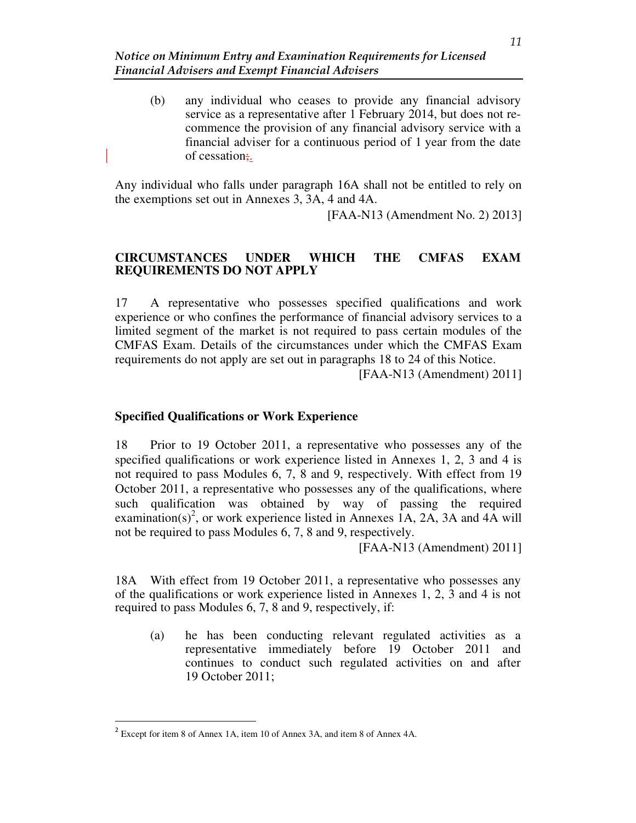(b) any individual who ceases to provide any financial advisory service as a representative after 1 February 2014, but does not recommence the provision of any financial advisory service with a financial adviser for a continuous period of 1 year from the date of cessation;.

Any individual who falls under paragraph 16A shall not be entitled to rely on the exemptions set out in Annexes 3, 3A, 4 and 4A.

[FAA-N13 (Amendment No. 2) 2013]

## **CIRCUMSTANCES UNDER WHICH THE CMFAS EXAM REQUIREMENTS DO NOT APPLY**

17 A representative who possesses specified qualifications and work experience or who confines the performance of financial advisory services to a limited segment of the market is not required to pass certain modules of the CMFAS Exam. Details of the circumstances under which the CMFAS Exam requirements do not apply are set out in paragraphs 18 to 24 of this Notice.

[FAA-N13 (Amendment) 2011]

## **Specified Qualifications or Work Experience**

18 Prior to 19 October 2011, a representative who possesses any of the specified qualifications or work experience listed in Annexes 1, 2, 3 and 4 is not required to pass Modules 6, 7, 8 and 9, respectively. With effect from 19 October 2011, a representative who possesses any of the qualifications, where such qualification was obtained by way of passing the required examination(s)<sup>2</sup>, or work experience listed in Annexes 1A, 2A, 3A and 4A will not be required to pass Modules 6, 7, 8 and 9, respectively.

[FAA-N13 (Amendment) 2011]

18A With effect from 19 October 2011, a representative who possesses any of the qualifications or work experience listed in Annexes 1, 2, 3 and 4 is not required to pass Modules 6, 7, 8 and 9, respectively, if:

(a) he has been conducting relevant regulated activities as a representative immediately before 19 October 2011 and continues to conduct such regulated activities on and after 19 October 2011;

<sup>&</sup>lt;sup>2</sup> Except for item 8 of Annex 1A, item 10 of Annex 3A, and item 8 of Annex 4A.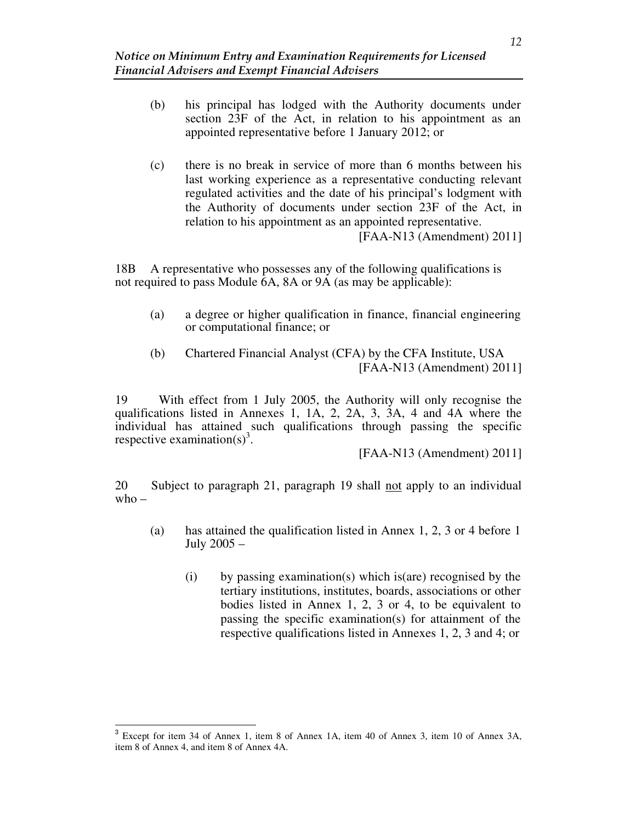- (b) his principal has lodged with the Authority documents under section 23F of the Act, in relation to his appointment as an appointed representative before 1 January 2012; or
- (c) there is no break in service of more than 6 months between his last working experience as a representative conducting relevant regulated activities and the date of his principal's lodgment with the Authority of documents under section 23F of the Act, in relation to his appointment as an appointed representative.

[FAA-N13 (Amendment) 2011]

18B A representative who possesses any of the following qualifications is not required to pass Module 6A, 8A or 9A (as may be applicable):

- (a) a degree or higher qualification in finance, financial engineering or computational finance; or
- (b) Chartered Financial Analyst (CFA) by the CFA Institute, USA [FAA-N13 (Amendment) 2011]

19 With effect from 1 July 2005, the Authority will only recognise the qualifications listed in Annexes 1, 1A, 2, 2A, 3, 3A, 4 and 4A where the individual has attained such qualifications through passing the specific respective examination(s)<sup>3</sup>.

[FAA-N13 (Amendment) 2011]

20 Subject to paragraph 21, paragraph 19 shall not apply to an individual  $who -$ 

- (a) has attained the qualification listed in Annex 1, 2, 3 or 4 before 1 July 2005 –
	- (i) by passing examination(s) which is(are) recognised by the tertiary institutions, institutes, boards, associations or other bodies listed in Annex 1, 2, 3 or 4, to be equivalent to passing the specific examination(s) for attainment of the respective qualifications listed in Annexes 1, 2, 3 and 4; or

<sup>&</sup>lt;sup>3</sup> Except for item 34 of Annex 1, item 8 of Annex 1A, item 40 of Annex 3, item 10 of Annex 3A, item 8 of Annex 4, and item 8 of Annex 4A.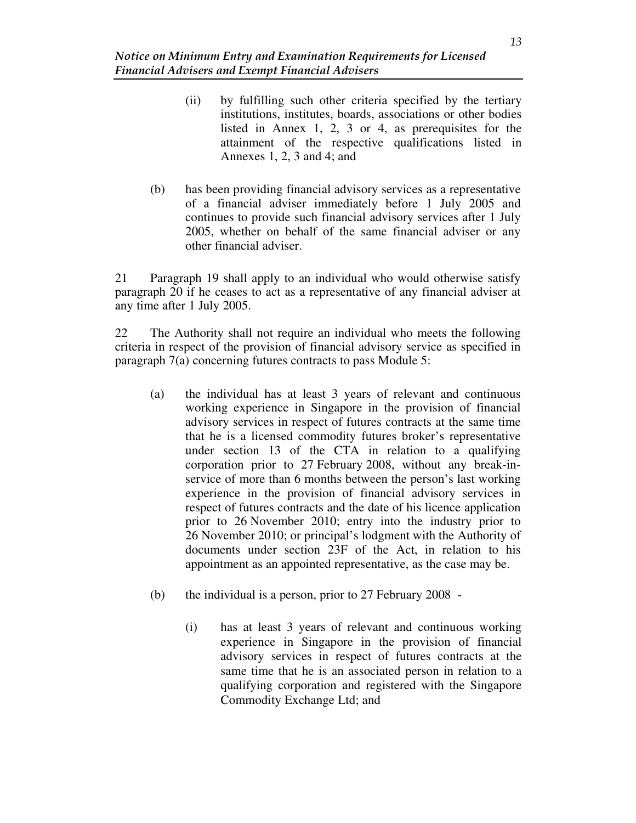- (ii) by fulfilling such other criteria specified by the tertiary institutions, institutes, boards, associations or other bodies listed in Annex 1, 2, 3 or 4, as prerequisites for the attainment of the respective qualifications listed in Annexes 1, 2, 3 and 4; and
- (b) has been providing financial advisory services as a representative of a financial adviser immediately before 1 July 2005 and continues to provide such financial advisory services after 1 July 2005, whether on behalf of the same financial adviser or any other financial adviser.

21 Paragraph 19 shall apply to an individual who would otherwise satisfy paragraph 20 if he ceases to act as a representative of any financial adviser at any time after 1 July 2005.

22 The Authority shall not require an individual who meets the following criteria in respect of the provision of financial advisory service as specified in paragraph 7(a) concerning futures contracts to pass Module 5:

- (a) the individual has at least 3 years of relevant and continuous working experience in Singapore in the provision of financial advisory services in respect of futures contracts at the same time that he is a licensed commodity futures broker's representative under section 13 of the CTA in relation to a qualifying corporation prior to 27 February 2008, without any break-inservice of more than 6 months between the person's last working experience in the provision of financial advisory services in respect of futures contracts and the date of his licence application prior to 26 November 2010; entry into the industry prior to 26 November 2010; or principal's lodgment with the Authority of documents under section 23F of the Act, in relation to his appointment as an appointed representative, as the case may be.
- (b) the individual is a person, prior to 27 February 2008
	- (i) has at least 3 years of relevant and continuous working experience in Singapore in the provision of financial advisory services in respect of futures contracts at the same time that he is an associated person in relation to a qualifying corporation and registered with the Singapore Commodity Exchange Ltd; and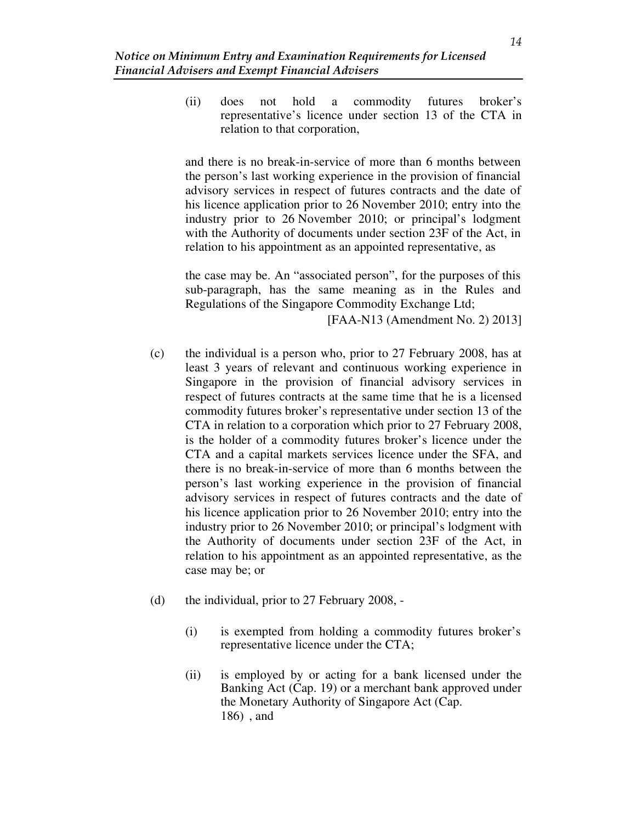(ii) does not hold a commodity futures broker's representative's licence under section 13 of the CTA in relation to that corporation,

and there is no break-in-service of more than 6 months between the person's last working experience in the provision of financial advisory services in respect of futures contracts and the date of his licence application prior to 26 November 2010; entry into the industry prior to 26 November 2010; or principal's lodgment with the Authority of documents under section 23F of the Act, in relation to his appointment as an appointed representative, as

the case may be. An "associated person", for the purposes of this sub-paragraph, has the same meaning as in the Rules and Regulations of the Singapore Commodity Exchange Ltd;

[FAA-N13 (Amendment No. 2) 2013]

- (c) the individual is a person who, prior to 27 February 2008, has at least 3 years of relevant and continuous working experience in Singapore in the provision of financial advisory services in respect of futures contracts at the same time that he is a licensed commodity futures broker's representative under section 13 of the CTA in relation to a corporation which prior to 27 February 2008, is the holder of a commodity futures broker's licence under the CTA and a capital markets services licence under the SFA, and there is no break-in-service of more than 6 months between the person's last working experience in the provision of financial advisory services in respect of futures contracts and the date of his licence application prior to 26 November 2010; entry into the industry prior to 26 November 2010; or principal's lodgment with the Authority of documents under section 23F of the Act, in relation to his appointment as an appointed representative, as the case may be; or
- (d) the individual, prior to 27 February 2008,
	- (i) is exempted from holding a commodity futures broker's representative licence under the CTA;
	- (ii) is employed by or acting for a bank licensed under the Banking Act (Cap. 19) or a merchant bank approved under the Monetary Authority of Singapore Act (Cap. 186) , and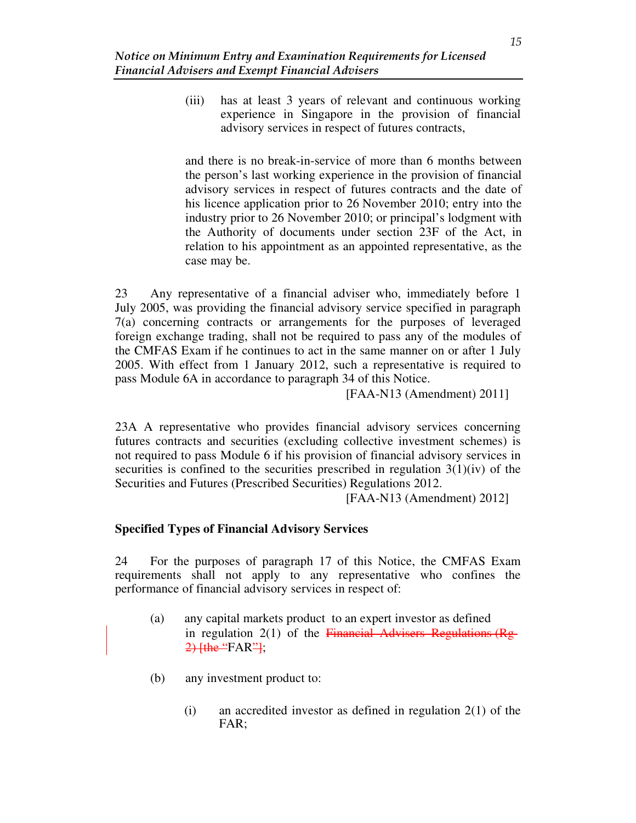(iii) has at least 3 years of relevant and continuous working experience in Singapore in the provision of financial advisory services in respect of futures contracts,

and there is no break-in-service of more than 6 months between the person's last working experience in the provision of financial advisory services in respect of futures contracts and the date of his licence application prior to 26 November 2010; entry into the industry prior to 26 November 2010; or principal's lodgment with the Authority of documents under section 23F of the Act, in relation to his appointment as an appointed representative, as the case may be.

23 Any representative of a financial adviser who, immediately before 1 July 2005, was providing the financial advisory service specified in paragraph 7(a) concerning contracts or arrangements for the purposes of leveraged foreign exchange trading, shall not be required to pass any of the modules of the CMFAS Exam if he continues to act in the same manner on or after 1 July 2005. With effect from 1 January 2012, such a representative is required to pass Module 6A in accordance to paragraph 34 of this Notice.

[FAA-N13 (Amendment) 2011]

23A A representative who provides financial advisory services concerning futures contracts and securities (excluding collective investment schemes) is not required to pass Module 6 if his provision of financial advisory services in securities is confined to the securities prescribed in regulation  $3(1)(iv)$  of the Securities and Futures (Prescribed Securities) Regulations 2012.

[FAA-N13 (Amendment) 2012]

### **Specified Types of Financial Advisory Services**

24 For the purposes of paragraph 17 of this Notice, the CMFAS Exam requirements shall not apply to any representative who confines the performance of financial advisory services in respect of:

- (a) any capital markets product to an expert investor as defined in regulation  $2(1)$  of the Financial Advisers Regulations (Rg- $2)$  [the "FAR"];
- (b) any investment product to:
	- $(i)$  an accredited investor as defined in regulation  $2(1)$  of the FAR;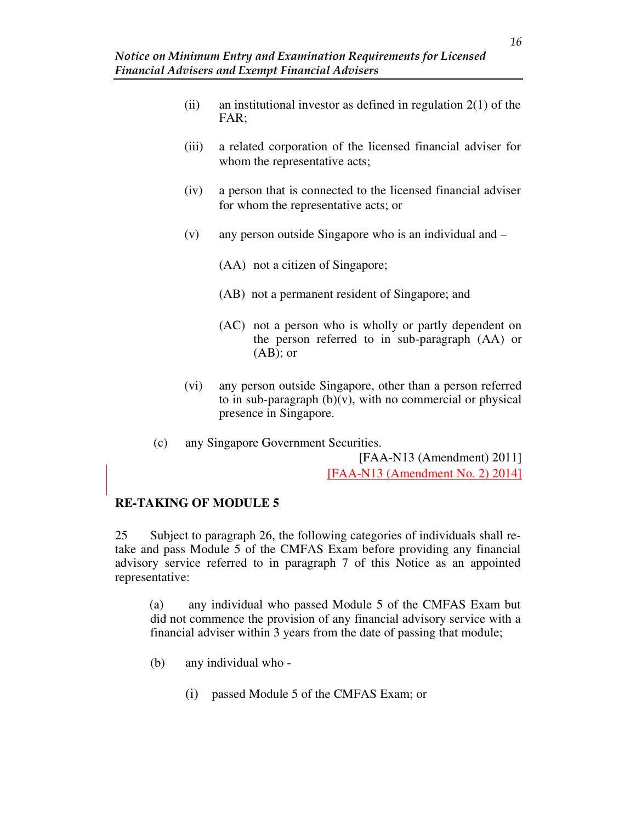- (ii) an institutional investor as defined in regulation  $2(1)$  of the FAR;
- (iii) a related corporation of the licensed financial adviser for whom the representative acts;
- (iv) a person that is connected to the licensed financial adviser for whom the representative acts; or
- (v) any person outside Singapore who is an individual and
	- (AA) not a citizen of Singapore;
	- (AB) not a permanent resident of Singapore; and
	- (AC) not a person who is wholly or partly dependent on the person referred to in sub-paragraph (AA) or  $(AB)$ ; or
- (vi) any person outside Singapore, other than a person referred to in sub-paragraph  $(b)(v)$ , with no commercial or physical presence in Singapore.
- (c) any Singapore Government Securities. [FAA-N13 (Amendment) 2011]

[FAA-N13 (Amendment No. 2) 2014]

## **RE-TAKING OF MODULE 5**

25 Subject to paragraph 26, the following categories of individuals shall retake and pass Module 5 of the CMFAS Exam before providing any financial advisory service referred to in paragraph 7 of this Notice as an appointed representative:

(a) any individual who passed Module 5 of the CMFAS Exam but did not commence the provision of any financial advisory service with a financial adviser within 3 years from the date of passing that module;

- (b) any individual who
	- (i) passed Module 5 of the CMFAS Exam; or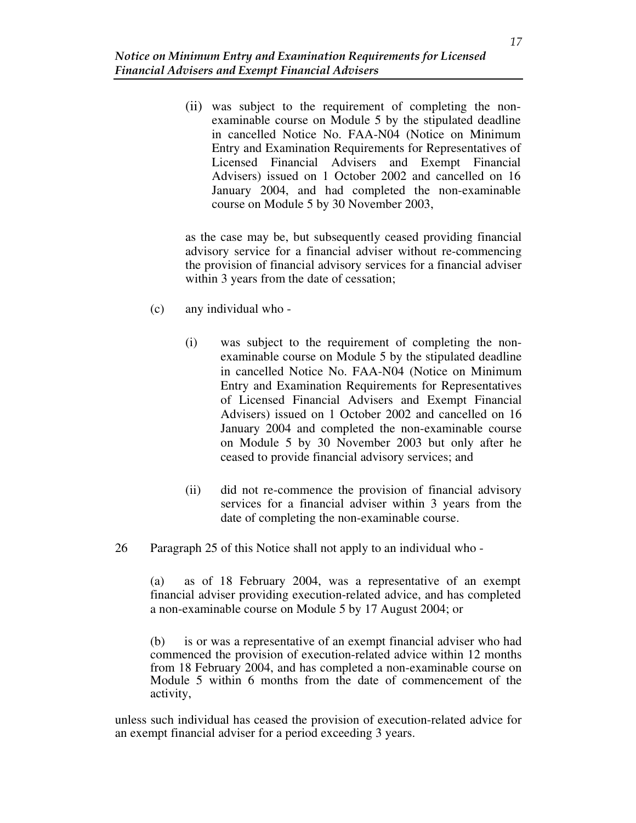(ii) was subject to the requirement of completing the nonexaminable course on Module 5 by the stipulated deadline in cancelled Notice No. FAA-N04 (Notice on Minimum Entry and Examination Requirements for Representatives of Licensed Financial Advisers and Exempt Financial Advisers) issued on 1 October 2002 and cancelled on 16 January 2004, and had completed the non-examinable course on Module 5 by 30 November 2003,

as the case may be, but subsequently ceased providing financial advisory service for a financial adviser without re-commencing the provision of financial advisory services for a financial adviser within 3 years from the date of cessation;

- (c) any individual who
	- (i) was subject to the requirement of completing the nonexaminable course on Module 5 by the stipulated deadline in cancelled Notice No. FAA-N04 (Notice on Minimum Entry and Examination Requirements for Representatives of Licensed Financial Advisers and Exempt Financial Advisers) issued on 1 October 2002 and cancelled on 16 January 2004 and completed the non-examinable course on Module 5 by 30 November 2003 but only after he ceased to provide financial advisory services; and
	- (ii) did not re-commence the provision of financial advisory services for a financial adviser within 3 years from the date of completing the non-examinable course.
- 26 Paragraph 25 of this Notice shall not apply to an individual who -

(a) as of 18 February 2004, was a representative of an exempt financial adviser providing execution-related advice, and has completed a non-examinable course on Module 5 by 17 August 2004; or

(b) is or was a representative of an exempt financial adviser who had commenced the provision of execution-related advice within 12 months from 18 February 2004, and has completed a non-examinable course on Module 5 within 6 months from the date of commencement of the activity,

unless such individual has ceased the provision of execution-related advice for an exempt financial adviser for a period exceeding 3 years.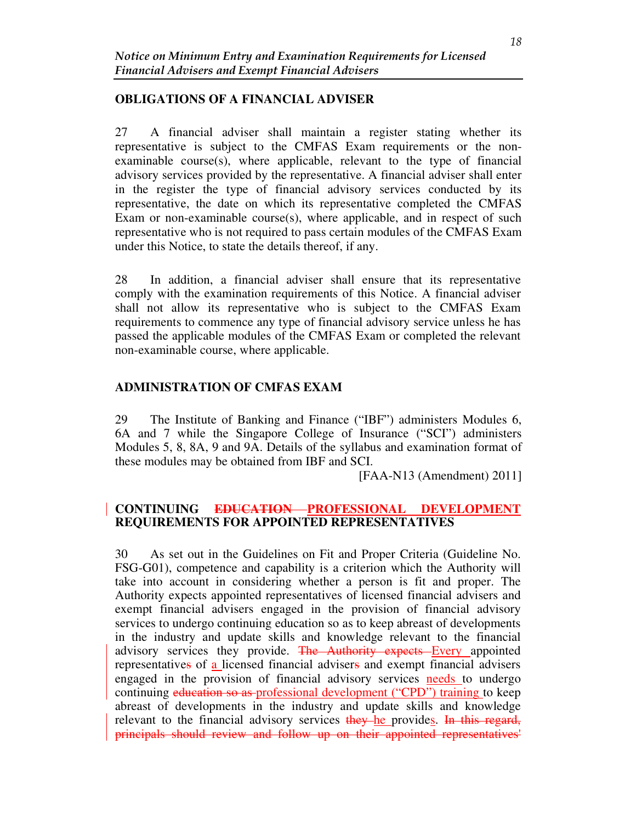### **OBLIGATIONS OF A FINANCIAL ADVISER**

27 A financial adviser shall maintain a register stating whether its representative is subject to the CMFAS Exam requirements or the nonexaminable course(s), where applicable, relevant to the type of financial advisory services provided by the representative. A financial adviser shall enter in the register the type of financial advisory services conducted by its representative, the date on which its representative completed the CMFAS Exam or non-examinable course $(s)$ , where applicable, and in respect of such representative who is not required to pass certain modules of the CMFAS Exam under this Notice, to state the details thereof, if any.

28 In addition, a financial adviser shall ensure that its representative comply with the examination requirements of this Notice. A financial adviser shall not allow its representative who is subject to the CMFAS Exam requirements to commence any type of financial advisory service unless he has passed the applicable modules of the CMFAS Exam or completed the relevant non-examinable course, where applicable.

## **ADMINISTRATION OF CMFAS EXAM**

29 The Institute of Banking and Finance ("IBF") administers Modules 6, 6A and 7 while the Singapore College of Insurance ("SCI") administers Modules 5, 8, 8A, 9 and 9A. Details of the syllabus and examination format of these modules may be obtained from IBF and SCI.

[FAA-N13 (Amendment) 2011]

### **CONTINUING EDUCATION PROFESSIONAL DEVELOPMENT REQUIREMENTS FOR APPOINTED REPRESENTATIVES**

30 As set out in the Guidelines on Fit and Proper Criteria (Guideline No. FSG-G01), competence and capability is a criterion which the Authority will take into account in considering whether a person is fit and proper. The Authority expects appointed representatives of licensed financial advisers and exempt financial advisers engaged in the provision of financial advisory services to undergo continuing education so as to keep abreast of developments in the industry and update skills and knowledge relevant to the financial advisory services they provide. The Authority expects Every appointed representatives of a licensed financial advisers and exempt financial advisers engaged in the provision of financial advisory services needs to undergo continuing education so as professional development ("CPD") training to keep abreast of developments in the industry and update skills and knowledge relevant to the financial advisory services they he provides. In this regard, principals should review and follow up on their appointed representatives'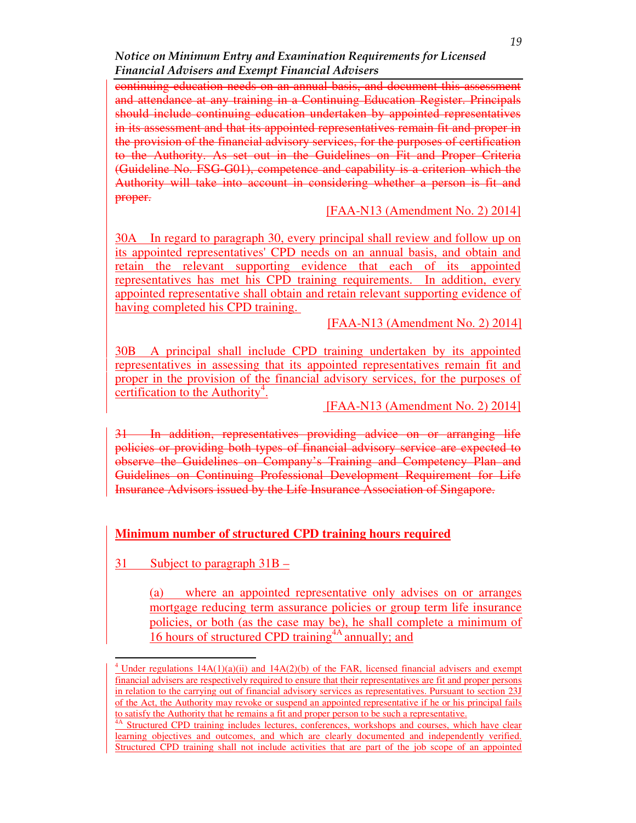Notice on Minimum Entry and Examination Requirements for Licensed Financial Advisers and Exempt Financial Advisers

continuing education needs on an annual basis, and document this assessment and attendance at any training in a Continuing Education Register. Principals should include continuing education undertaken by appointed representatives in its assessment and that its appointed representatives remain fit and proper in the provision of the financial advisory services, for the purposes of certification to the Authority. As set out in the Guidelines on Fit and Proper Criteria (Guideline No. FSG-G01), competence and capability is a criterion which the Authority will take into account in considering whether a person is fit and proper.

[FAA-N13 (Amendment No. 2) 2014]

30A In regard to paragraph 30, every principal shall review and follow up on its appointed representatives' CPD needs on an annual basis, and obtain and retain the relevant supporting evidence that each of its appointed representatives has met his CPD training requirements. In addition, every appointed representative shall obtain and retain relevant supporting evidence of having completed his CPD training.

[FAA-N13 (Amendment No. 2) 2014]

30B A principal shall include CPD training undertaken by its appointed representatives in assessing that its appointed representatives remain fit and proper in the provision of the financial advisory services, for the purposes of certification to the Authority<sup>4</sup>.

[FAA-N13 (Amendment No. 2) 2014]

In addition, representatives providing advice on or arranging life policies or providing both types of financial advisory service are expected to observe the Guidelines on Company's Training and Competency Plan and Guidelines on Continuing Professional Development Requirement for Life Insurance Advisors issued by the Life Insurance Association of Singapore.

## **Minimum number of structured CPD training hours required**

31 Subject to paragraph 31B –

 $\overline{a}$ 

(a) where an appointed representative only advises on or arranges mortgage reducing term assurance policies or group term life insurance policies, or both (as the case may be), he shall complete a minimum of 16 hours of structured CPD training  $\overline{4A}$  annually; and

<sup>&</sup>lt;sup>4</sup> Under regulations  $14A(1)(a)(ii)$  and  $14A(2)(b)$  of the FAR, licensed financial advisers and exempt financial advisers are respectively required to ensure that their representatives are fit and proper persons in relation to the carrying out of financial advisory services as representatives. Pursuant to section 23J of the Act, the Authority may revoke or suspend an appointed representative if he or his principal fails to satisfy the Authority that he remains a fit and proper person to be such a representative.

<sup>&</sup>lt;sup>4A</sup> Structured CPD training includes lectures, conferences, workshops and courses, which have clear learning objectives and outcomes, and which are clearly documented and independently verified. Structured CPD training shall not include activities that are part of the job scope of an appointed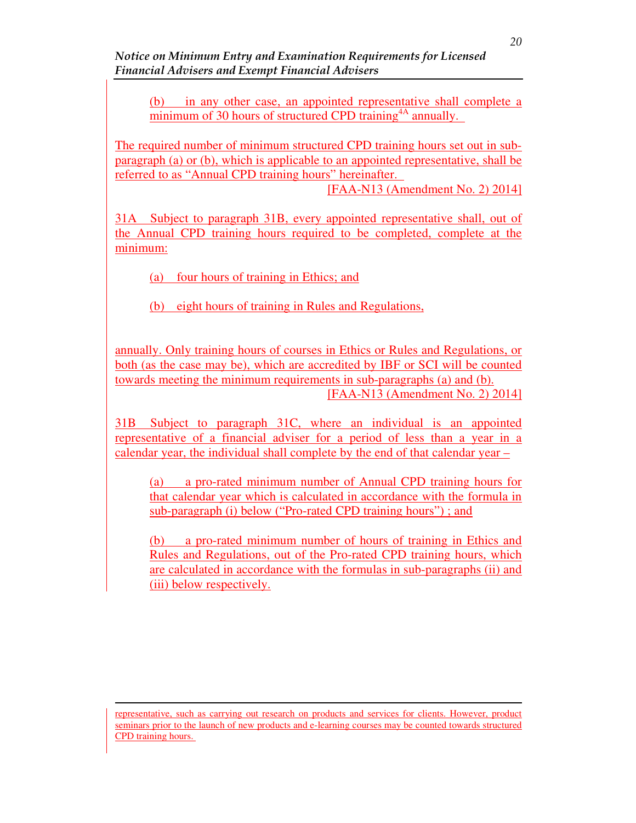Notice on Minimum Entry and Examination Requirements for Licensed Financial Advisers and Exempt Financial Advisers

(b) in any other case, an appointed representative shall complete a minimum of 30 hours of structured CPD training<sup>4A</sup> annually.

The required number of minimum structured CPD training hours set out in subparagraph (a) or (b), which is applicable to an appointed representative, shall be referred to as "Annual CPD training hours" hereinafter.

[FAA-N13 (Amendment No. 2) 2014]

31A Subject to paragraph 31B, every appointed representative shall, out of the Annual CPD training hours required to be completed, complete at the minimum:

(a) four hours of training in Ethics; and

(b) eight hours of training in Rules and Regulations,

annually. Only training hours of courses in Ethics or Rules and Regulations, or both (as the case may be), which are accredited by IBF or SCI will be counted towards meeting the minimum requirements in sub-paragraphs (a) and (b). [FAA-N13 (Amendment No. 2) 2014]

31B Subject to paragraph 31C, where an individual is an appointed representative of a financial adviser for a period of less than a year in a calendar year, the individual shall complete by the end of that calendar year –

(a) a pro-rated minimum number of Annual CPD training hours for that calendar year which is calculated in accordance with the formula in sub-paragraph (i) below ("Pro-rated CPD training hours") ; and

(b) a pro-rated minimum number of hours of training in Ethics and Rules and Regulations, out of the Pro-rated CPD training hours, which are calculated in accordance with the formulas in sub-paragraphs (ii) and (iii) below respectively.

representative, such as carrying out research on products and services for clients. However, product seminars prior to the launch of new products and e-learning courses may be counted towards structured CPD training hours.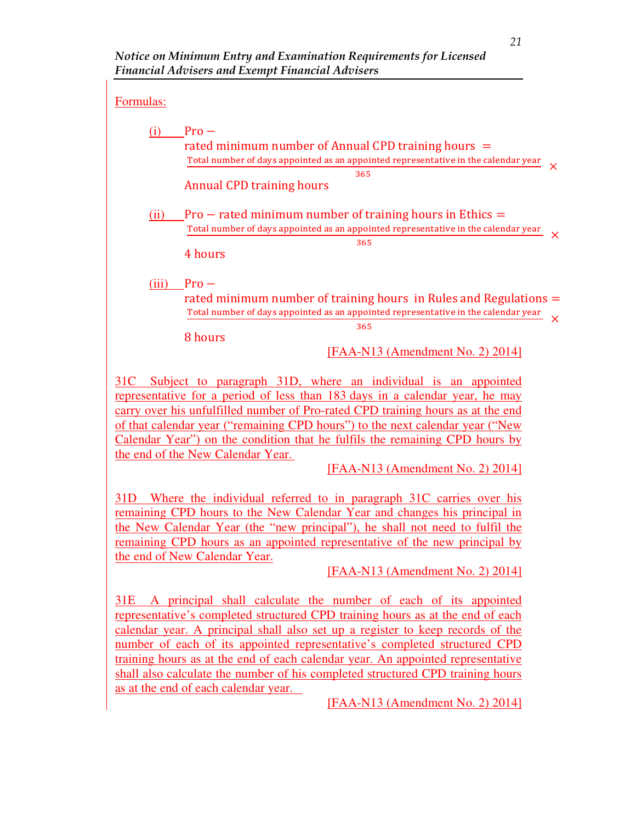## Formulas:

|       | $Pro-$                                                                                                                                                    |          |  |  |  |  |  |
|-------|-----------------------------------------------------------------------------------------------------------------------------------------------------------|----------|--|--|--|--|--|
|       | rated minimum number of Annual CPD training hours $=$<br>Total number of days appointed as an appointed representative in the calendar year               |          |  |  |  |  |  |
|       | 365<br><b>Annual CPD training hours</b>                                                                                                                   |          |  |  |  |  |  |
|       |                                                                                                                                                           |          |  |  |  |  |  |
| (11)  | $Pro$ – rated minimum number of training hours in Ethics $=$<br>Total number of days appointed as an appointed representative in the calendar year        | $\times$ |  |  |  |  |  |
|       | 365<br>4 hours                                                                                                                                            |          |  |  |  |  |  |
|       |                                                                                                                                                           |          |  |  |  |  |  |
| (iii) | $Pro-$                                                                                                                                                    |          |  |  |  |  |  |
|       | rated minimum number of training hours in Rules and Regulations $=$<br>Total number of days appointed as an appointed representative in the calendar year | $\times$ |  |  |  |  |  |
|       | 365                                                                                                                                                       |          |  |  |  |  |  |
|       | 8 hours<br>$[FAA-N13 (Amendment No. 2) 2014]$                                                                                                             |          |  |  |  |  |  |
|       |                                                                                                                                                           |          |  |  |  |  |  |

31C Subject to paragraph 31D, where an individual is an appointed representative for a period of less than 183 days in a calendar year, he may carry over his unfulfilled number of Pro-rated CPD training hours as at the end of that calendar year ("remaining CPD hours") to the next calendar year ("New Calendar Year") on the condition that he fulfils the remaining CPD hours by the end of the New Calendar Year.

[FAA-N13 (Amendment No. 2) 2014]

31D Where the individual referred to in paragraph 31C carries over his remaining CPD hours to the New Calendar Year and changes his principal in the New Calendar Year (the "new principal"), he shall not need to fulfil the remaining CPD hours as an appointed representative of the new principal by the end of New Calendar Year.

[FAA-N13 (Amendment No. 2) 2014]

31E A principal shall calculate the number of each of its appointed representative's completed structured CPD training hours as at the end of each calendar year. A principal shall also set up a register to keep records of the number of each of its appointed representative's completed structured CPD training hours as at the end of each calendar year. An appointed representative shall also calculate the number of his completed structured CPD training hours as at the end of each calendar year.

[FAA-N13 (Amendment No. 2) 2014]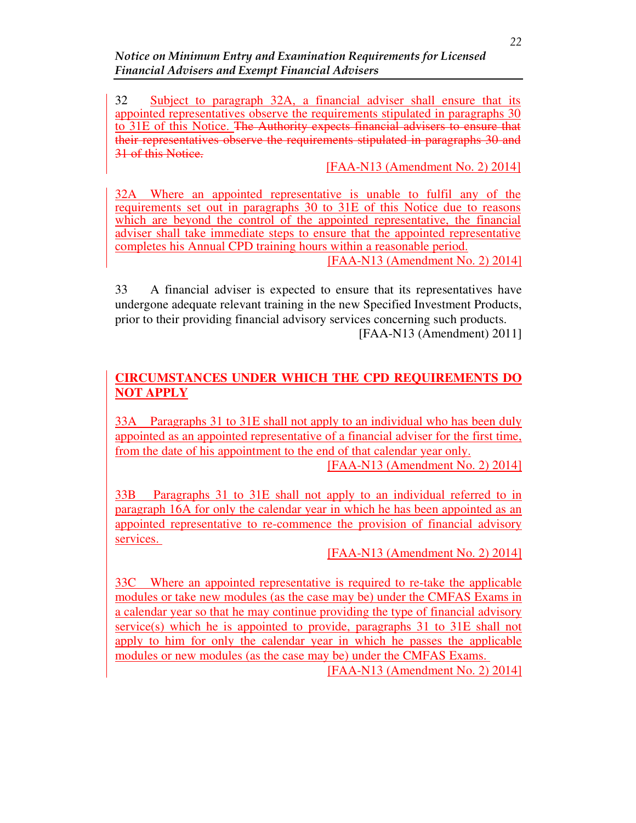Notice on Minimum Entry and Examination Requirements for Licensed Financial Advisers and Exempt Financial Advisers

32 Subject to paragraph 32A, a financial adviser shall ensure that its appointed representatives observe the requirements stipulated in paragraphs 30 to 31E of this Notice. The Authority expects financial advisers to ensure that their representatives observe the requirements stipulated in paragraphs 30 and 31 of this Notice.

[FAA-N13 (Amendment No. 2) 2014]

32A Where an appointed representative is unable to fulfil any of the requirements set out in paragraphs 30 to 31E of this Notice due to reasons which are beyond the control of the appointed representative, the financial adviser shall take immediate steps to ensure that the appointed representative completes his Annual CPD training hours within a reasonable period. [FAA-N13 (Amendment No. 2) 2014]

33 A financial adviser is expected to ensure that its representatives have undergone adequate relevant training in the new Specified Investment Products, prior to their providing financial advisory services concerning such products.

[FAA-N13 (Amendment) 2011]

# **CIRCUMSTANCES UNDER WHICH THE CPD REQUIREMENTS DO NOT APPLY**

33A Paragraphs 31 to 31E shall not apply to an individual who has been duly appointed as an appointed representative of a financial adviser for the first time, from the date of his appointment to the end of that calendar year only.

[FAA-N13 (Amendment No. 2) 2014]

33B Paragraphs 31 to 31E shall not apply to an individual referred to in paragraph 16A for only the calendar year in which he has been appointed as an appointed representative to re-commence the provision of financial advisory services.

[FAA-N13 (Amendment No. 2) 2014]

33C Where an appointed representative is required to re-take the applicable modules or take new modules (as the case may be) under the CMFAS Exams in a calendar year so that he may continue providing the type of financial advisory service(s) which he is appointed to provide, paragraphs 31 to 31E shall not apply to him for only the calendar year in which he passes the applicable modules or new modules (as the case may be) under the CMFAS Exams. [FAA-N13 (Amendment No. 2) 2014]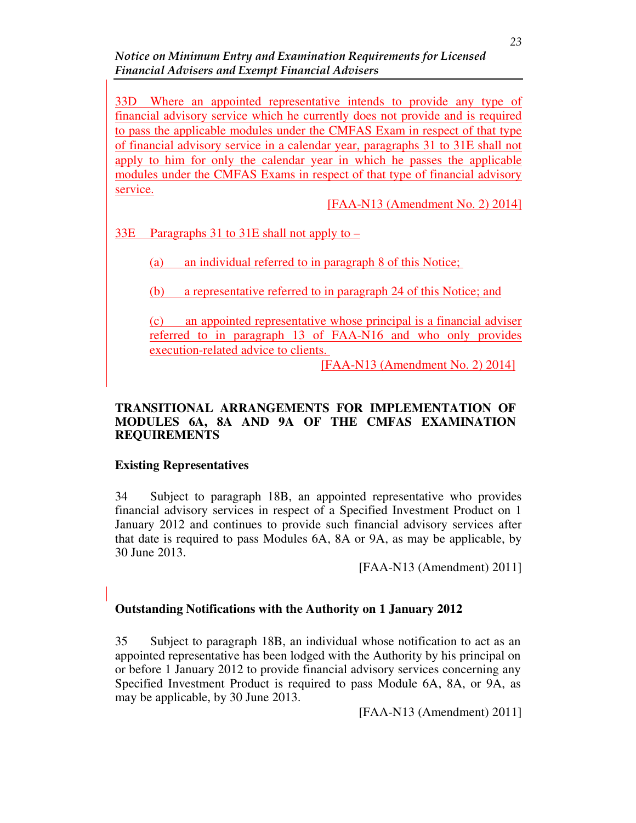Notice on Minimum Entry and Examination Requirements for Licensed Financial Advisers and Exempt Financial Advisers

33D Where an appointed representative intends to provide any type of financial advisory service which he currently does not provide and is required to pass the applicable modules under the CMFAS Exam in respect of that type of financial advisory service in a calendar year, paragraphs 31 to 31E shall not apply to him for only the calendar year in which he passes the applicable modules under the CMFAS Exams in respect of that type of financial advisory service.

[FAA-N13 (Amendment No. 2) 2014]

33E Paragraphs 31 to 31E shall not apply to –

(a) an individual referred to in paragraph 8 of this Notice;

(b) a representative referred to in paragraph 24 of this Notice; and

(c) an appointed representative whose principal is a financial adviser referred to in paragraph 13 of FAA-N16 and who only provides execution-related advice to clients.

[FAA-N13 (Amendment No. 2) 2014]

### **TRANSITIONAL ARRANGEMENTS FOR IMPLEMENTATION OF MODULES 6A, 8A AND 9A OF THE CMFAS EXAMINATION REQUIREMENTS**

### **Existing Representatives**

34 Subject to paragraph 18B, an appointed representative who provides financial advisory services in respect of a Specified Investment Product on 1 January 2012 and continues to provide such financial advisory services after that date is required to pass Modules 6A, 8A or 9A, as may be applicable, by 30 June 2013.

[FAA-N13 (Amendment) 2011]

## **Outstanding Notifications with the Authority on 1 January 2012**

35 Subject to paragraph 18B, an individual whose notification to act as an appointed representative has been lodged with the Authority by his principal on or before 1 January 2012 to provide financial advisory services concerning any Specified Investment Product is required to pass Module 6A, 8A, or 9A, as may be applicable, by 30 June 2013.

[FAA-N13 (Amendment) 2011]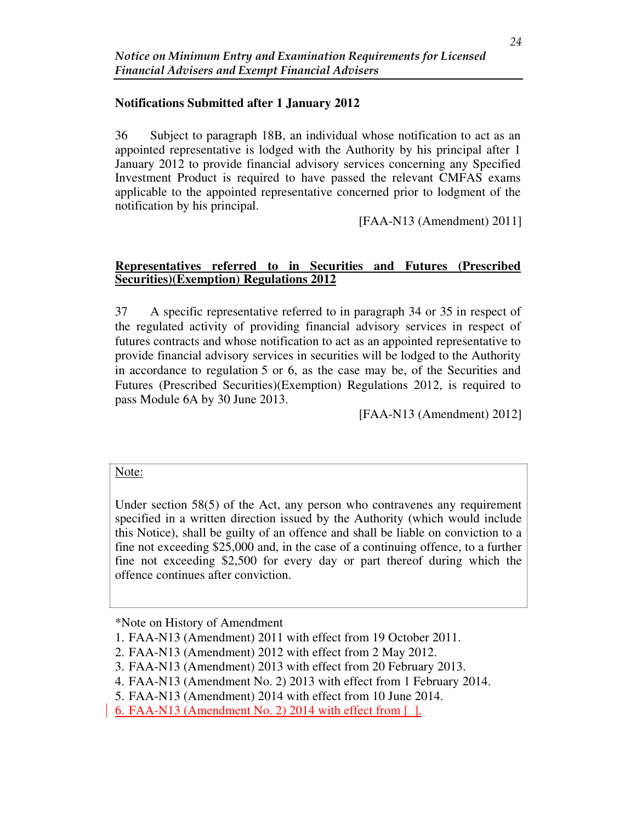## **Notifications Submitted after 1 January 2012**

36 Subject to paragraph 18B, an individual whose notification to act as an appointed representative is lodged with the Authority by his principal after 1 January 2012 to provide financial advisory services concerning any Specified Investment Product is required to have passed the relevant CMFAS exams applicable to the appointed representative concerned prior to lodgment of the notification by his principal.

[FAA-N13 (Amendment) 2011]

#### **Representatives referred to in Securities and Futures (Prescribed Securities)(Exemption) Regulations 2012**

37 A specific representative referred to in paragraph 34 or 35 in respect of the regulated activity of providing financial advisory services in respect of futures contracts and whose notification to act as an appointed representative to provide financial advisory services in securities will be lodged to the Authority in accordance to regulation 5 or 6, as the case may be, of the Securities and Futures (Prescribed Securities)(Exemption) Regulations 2012, is required to pass Module 6A by 30 June 2013.

[FAA-N13 (Amendment) 2012]

#### Note:

Under section 58(5) of the Act, any person who contravenes any requirement specified in a written direction issued by the Authority (which would include this Notice), shall be guilty of an offence and shall be liable on conviction to a fine not exceeding \$25,000 and, in the case of a continuing offence, to a further fine not exceeding \$2,500 for every day or part thereof during which the offence continues after conviction.

\*Note on History of Amendment

<sup>1.</sup> FAA-N13 (Amendment) 2011 with effect from 19 October 2011.

<sup>2.</sup> FAA-N13 (Amendment) 2012 with effect from 2 May 2012.

<sup>3.</sup> FAA-N13 (Amendment) 2013 with effect from 20 February 2013.

<sup>4.</sup> FAA-N13 (Amendment No. 2) 2013 with effect from 1 February 2014.

<sup>5.</sup> FAA-N13 (Amendment) 2014 with effect from 10 June 2014.

<sup>6.</sup> FAA-N13 (Amendment No. 2) 2014 with effect from [ ].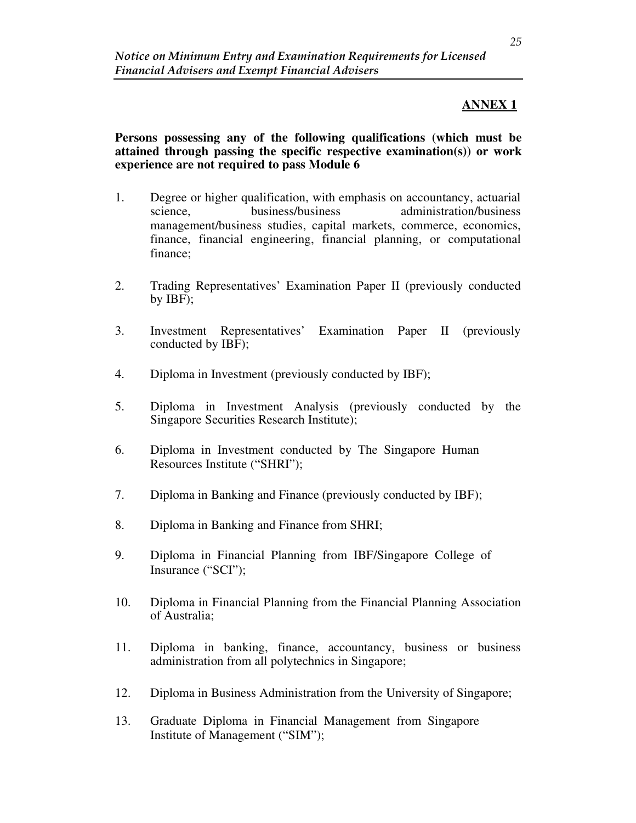## **ANNEX 1**

**Persons possessing any of the following qualifications (which must be attained through passing the specific respective examination(s)) or work experience are not required to pass Module 6**

- 1. Degree or higher qualification, with emphasis on accountancy, actuarial science, business/business administration/business management/business studies, capital markets, commerce, economics, finance, financial engineering, financial planning, or computational finance;
- 2. Trading Representatives' Examination Paper II (previously conducted by IBF);
- 3. Investment Representatives' Examination Paper II (previously conducted by IBF);
- 4. Diploma in Investment (previously conducted by IBF);
- 5. Diploma in Investment Analysis (previously conducted by the Singapore Securities Research Institute);
- 6. Diploma in Investment conducted by The Singapore Human Resources Institute ("SHRI");
- 7. Diploma in Banking and Finance (previously conducted by IBF);
- 8. Diploma in Banking and Finance from SHRI;
- 9. Diploma in Financial Planning from IBF/Singapore College of Insurance ("SCI");
- 10. Diploma in Financial Planning from the Financial Planning Association of Australia;
- 11. Diploma in banking, finance, accountancy, business or business administration from all polytechnics in Singapore;
- 12. Diploma in Business Administration from the University of Singapore;
- 13. Graduate Diploma in Financial Management from Singapore Institute of Management ("SIM");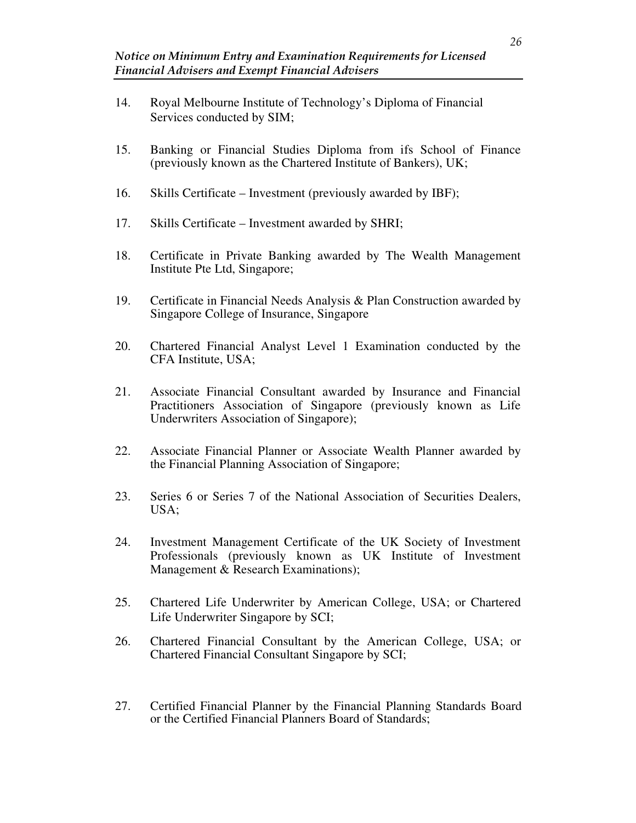- 14. Royal Melbourne Institute of Technology's Diploma of Financial Services conducted by SIM;
- 15. Banking or Financial Studies Diploma from ifs School of Finance (previously known as the Chartered Institute of Bankers), UK;
- 16. Skills Certificate Investment (previously awarded by IBF);
- 17. Skills Certificate Investment awarded by SHRI;
- 18. Certificate in Private Banking awarded by The Wealth Management Institute Pte Ltd, Singapore;
- 19. Certificate in Financial Needs Analysis & Plan Construction awarded by Singapore College of Insurance, Singapore
- 20. Chartered Financial Analyst Level 1 Examination conducted by the CFA Institute, USA;
- 21. Associate Financial Consultant awarded by Insurance and Financial Practitioners Association of Singapore (previously known as Life Underwriters Association of Singapore);
- 22. Associate Financial Planner or Associate Wealth Planner awarded by the Financial Planning Association of Singapore;
- 23. Series 6 or Series 7 of the National Association of Securities Dealers, USA;
- 24. Investment Management Certificate of the UK Society of Investment Professionals (previously known as UK Institute of Investment Management & Research Examinations);
- 25. Chartered Life Underwriter by American College, USA; or Chartered Life Underwriter Singapore by SCI;
- 26. Chartered Financial Consultant by the American College, USA; or Chartered Financial Consultant Singapore by SCI;
- 27. Certified Financial Planner by the Financial Planning Standards Board or the Certified Financial Planners Board of Standards;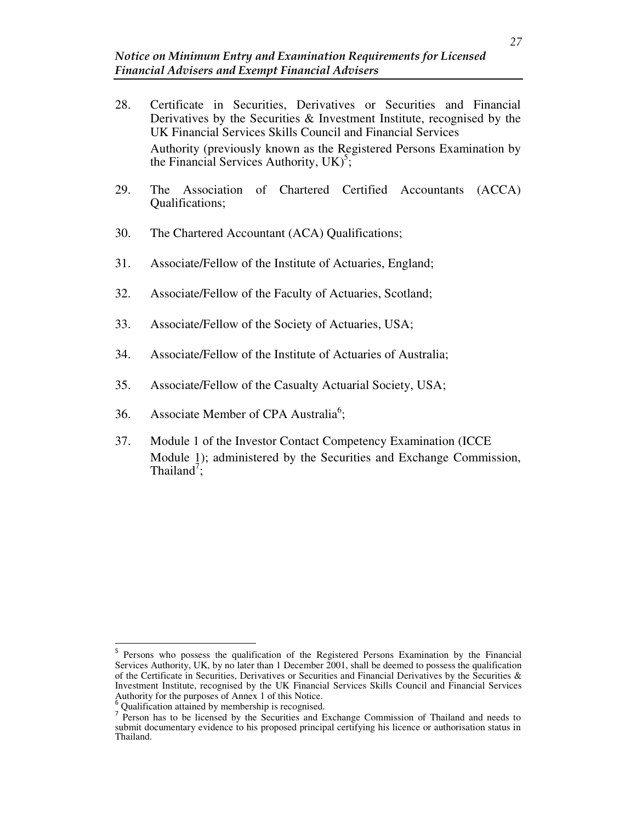- 28. Certificate in Securities, Derivatives or Securities and Financial Derivatives by the Securities & Investment Institute, recognised by the UK Financial Services Skills Council and Financial Services Authority (previously known as the Registered Persons Examination by the Financial Services Authority,  $UK)^5$ ;
- 29. The Association of Chartered Certified Accountants (ACCA) Qualifications;
- 30. The Chartered Accountant (ACA) Qualifications;
- 31. Associate/Fellow of the Institute of Actuaries, England;
- 32. Associate/Fellow of the Faculty of Actuaries, Scotland;
- 33. Associate/Fellow of the Society of Actuaries, USA;
- 34. Associate/Fellow of the Institute of Actuaries of Australia;
- 35. Associate/Fellow of the Casualty Actuarial Society, USA;
- 36. Associate Member of CPA Australia<sup>6</sup>;
- 37. Module 1 of the Investor Contact Competency Examination (ICCE Module 1); administered by the Securities and Exchange Commission, Thailand<sup>7</sup>;

<sup>5</sup> Persons who possess the qualification of the Registered Persons Examination by the Financial Services Authority, UK, by no later than 1 December 2001, shall be deemed to possess the qualification of the Certificate in Securities, Derivatives or Securities and Financial Derivatives by the Securities & Investment Institute, recognised by the UK Financial Services Skills Council and Financial Services Authority for the purposes of Annex 1 of this Notice.

<sup>6</sup> Qualification attained by membership is recognised.

Person has to be licensed by the Securities and Exchange Commission of Thailand and needs to submit documentary evidence to his proposed principal certifying his licence or authorisation status in Thailand.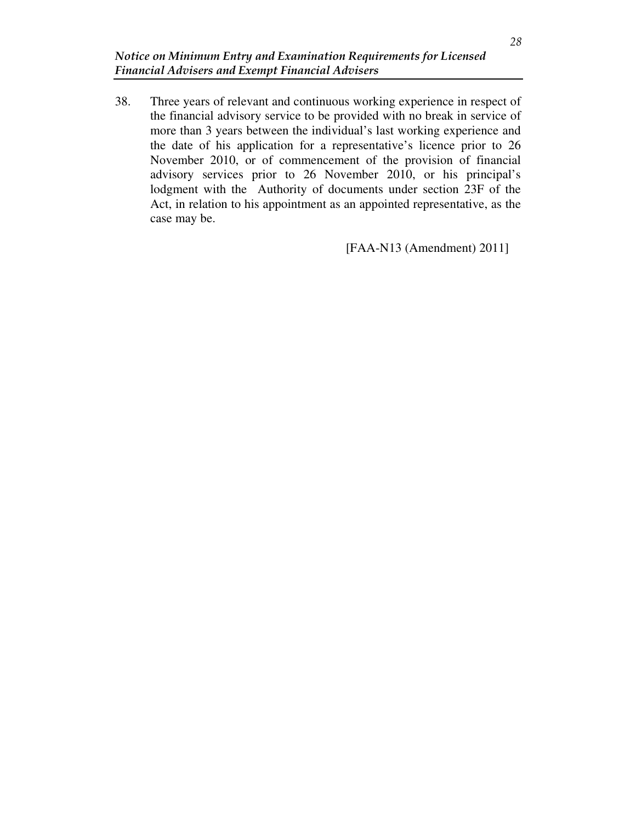38. Three years of relevant and continuous working experience in respect of the financial advisory service to be provided with no break in service of more than 3 years between the individual's last working experience and the date of his application for a representative's licence prior to 26 November 2010, or of commencement of the provision of financial advisory services prior to 26 November 2010, or his principal's lodgment with the Authority of documents under section 23F of the Act, in relation to his appointment as an appointed representative, as the case may be.

[FAA-N13 (Amendment) 2011]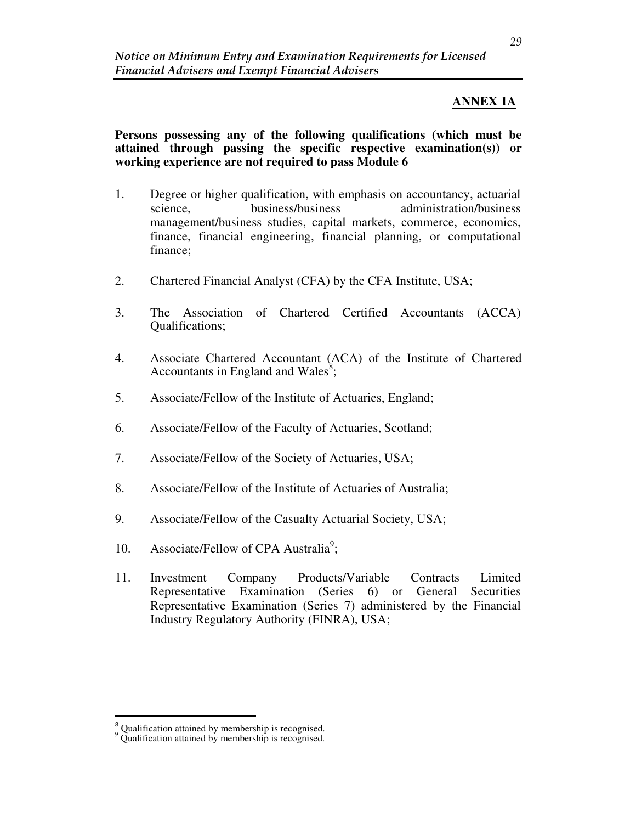## **ANNEX 1A**

**Persons possessing any of the following qualifications (which must be attained through passing the specific respective examination(s)) or working experience are not required to pass Module 6**

- 1. Degree or higher qualification, with emphasis on accountancy, actuarial science, business/business administration/business management/business studies, capital markets, commerce, economics, finance, financial engineering, financial planning, or computational finance;
- 2. Chartered Financial Analyst (CFA) by the CFA Institute, USA;
- 3. The Association of Chartered Certified Accountants (ACCA) Qualifications;
- 4. Associate Chartered Accountant (ACA) of the Institute of Chartered Accountants in England and Wales $s^8$ ;
- 5. Associate/Fellow of the Institute of Actuaries, England;
- 6. Associate/Fellow of the Faculty of Actuaries, Scotland;
- 7. Associate/Fellow of the Society of Actuaries, USA;
- 8. Associate/Fellow of the Institute of Actuaries of Australia;
- 9. Associate/Fellow of the Casualty Actuarial Society, USA;
- 10. Associate/Fellow of CPA Australia<sup>9</sup>;
- 11. Investment Company Products/Variable Contracts Limited Representative Examination (Series 6) or General Securities Representative Examination (Series 7) administered by the Financial Industry Regulatory Authority (FINRA), USA;

 $\degree^8$  Qualification attained by membership is recognised.  $\degree$  Qualification attained by membership is recognised.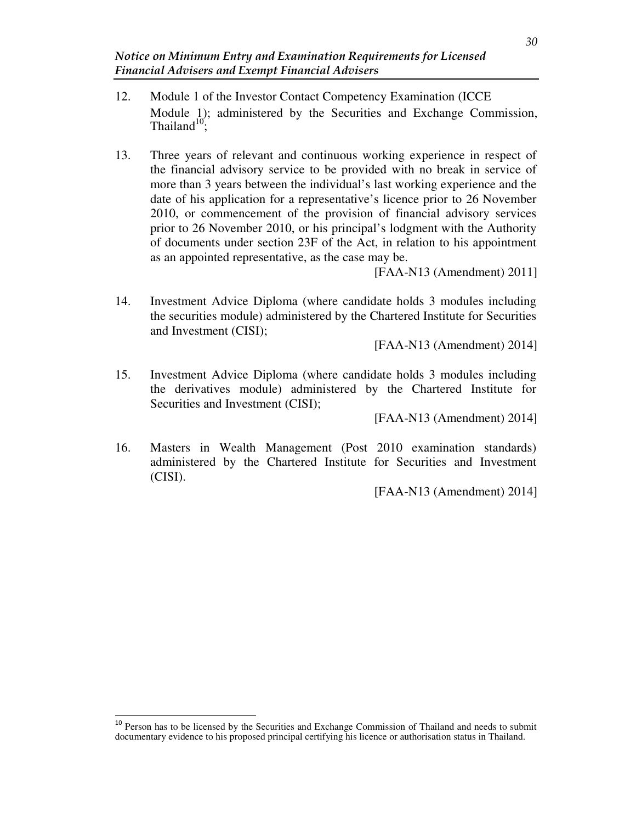- 12. Module 1 of the Investor Contact Competency Examination (ICCE Module 1); administered by the Securities and Exchange Commission, Thailand $10'$ ;
- 13. Three years of relevant and continuous working experience in respect of the financial advisory service to be provided with no break in service of more than 3 years between the individual's last working experience and the date of his application for a representative's licence prior to 26 November 2010, or commencement of the provision of financial advisory services prior to 26 November 2010, or his principal's lodgment with the Authority of documents under section 23F of the Act, in relation to his appointment as an appointed representative, as the case may be.

[FAA-N13 (Amendment) 2011]

14. Investment Advice Diploma (where candidate holds 3 modules including the securities module) administered by the Chartered Institute for Securities and Investment (CISI);

[FAA-N13 (Amendment) 2014]

15. Investment Advice Diploma (where candidate holds 3 modules including the derivatives module) administered by the Chartered Institute for Securities and Investment (CISI);

[FAA-N13 (Amendment) 2014]

16. Masters in Wealth Management (Post 2010 examination standards) administered by the Chartered Institute for Securities and Investment (CISI).

[FAA-N13 (Amendment) 2014]

<sup>&</sup>lt;sup>10</sup> Person has to be licensed by the Securities and Exchange Commission of Thailand and needs to submit documentary evidence to his proposed principal certifying his licence or authorisation status in Thailand.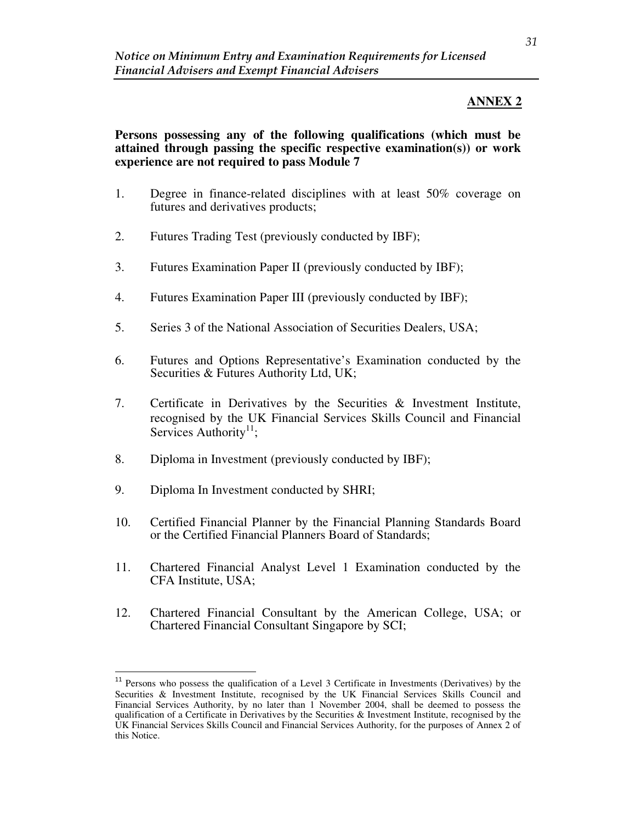## **ANNEX 2**

**Persons possessing any of the following qualifications (which must be attained through passing the specific respective examination(s)) or work experience are not required to pass Module 7**

- 1. Degree in finance-related disciplines with at least 50% coverage on futures and derivatives products;
- 2. Futures Trading Test (previously conducted by IBF);
- 3. Futures Examination Paper II (previously conducted by IBF);
- 4. Futures Examination Paper III (previously conducted by IBF);
- 5. Series 3 of the National Association of Securities Dealers, USA;
- 6. Futures and Options Representative's Examination conducted by the Securities & Futures Authority Ltd, UK;
- 7. Certificate in Derivatives by the Securities & Investment Institute, recognised by the UK Financial Services Skills Council and Financial Services Authority<sup>11</sup>;
- 8. Diploma in Investment (previously conducted by IBF);
- 9. Diploma In Investment conducted by SHRI;

- 10. Certified Financial Planner by the Financial Planning Standards Board or the Certified Financial Planners Board of Standards;
- 11. Chartered Financial Analyst Level 1 Examination conducted by the CFA Institute, USA;
- 12. Chartered Financial Consultant by the American College, USA; or Chartered Financial Consultant Singapore by SCI;

<sup>&</sup>lt;sup>11</sup> Persons who possess the qualification of a Level 3 Certificate in Investments (Derivatives) by the Securities & Investment Institute, recognised by the UK Financial Services Skills Council and Financial Services Authority, by no later than 1 November 2004, shall be deemed to possess the qualification of a Certificate in Derivatives by the Securities & Investment Institute, recognised by the UK Financial Services Skills Council and Financial Services Authority, for the purposes of Annex 2 of this Notice.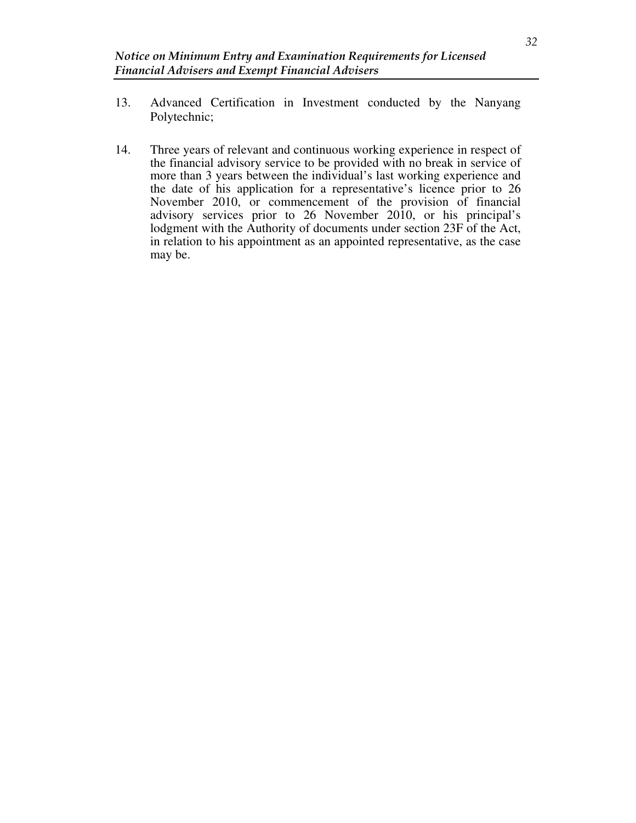- 13. Advanced Certification in Investment conducted by the Nanyang Polytechnic;
- 14. Three years of relevant and continuous working experience in respect of the financial advisory service to be provided with no break in service of more than 3 years between the individual's last working experience and the date of his application for a representative's licence prior to 26 November 2010, or commencement of the provision of financial advisory services prior to 26 November 2010, or his principal's lodgment with the Authority of documents under section 23F of the Act, in relation to his appointment as an appointed representative, as the case may be.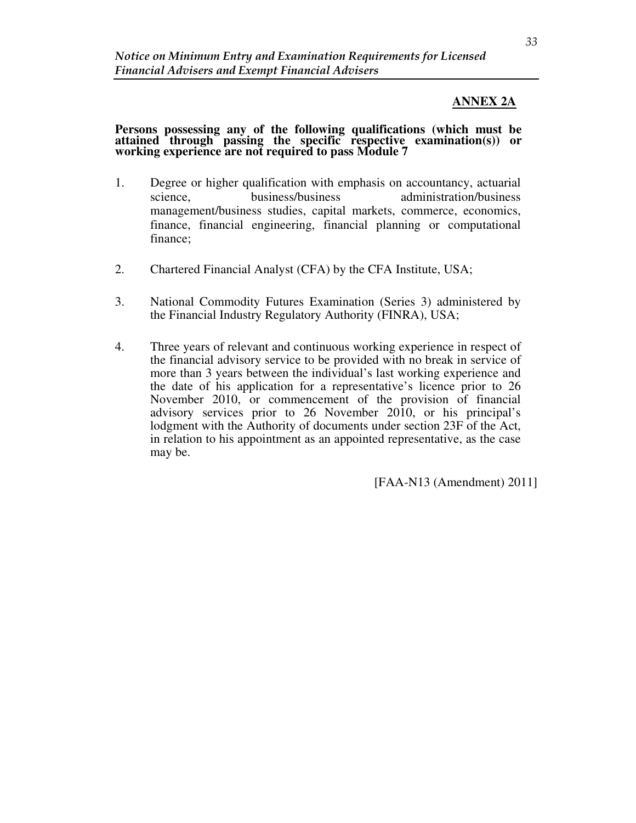### **ANNEX 2A**

#### **Persons possessing any of the following qualifications (which must be attained through passing the specific respective examination(s)) or working experience are not required to pass Module 7**

- 1. Degree or higher qualification with emphasis on accountancy, actuarial science, business/business administration/business management/business studies, capital markets, commerce, economics, finance, financial engineering, financial planning or computational finance;
- 2. Chartered Financial Analyst (CFA) by the CFA Institute, USA;
- 3. National Commodity Futures Examination (Series 3) administered by the Financial Industry Regulatory Authority (FINRA), USA;
- 4. Three years of relevant and continuous working experience in respect of the financial advisory service to be provided with no break in service of more than 3 years between the individual's last working experience and the date of his application for a representative's licence prior to 26 November 2010, or commencement of the provision of financial advisory services prior to 26 November 2010, or his principal's lodgment with the Authority of documents under section 23F of the Act, in relation to his appointment as an appointed representative, as the case may be.

[FAA-N13 (Amendment) 2011]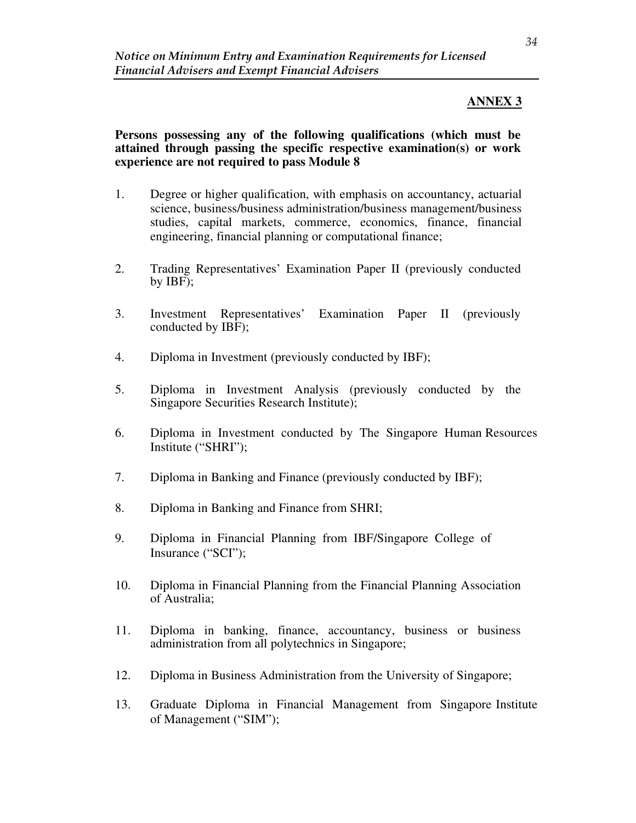## **ANNEX 3**

**Persons possessing any of the following qualifications (which must be attained through passing the specific respective examination(s) or work experience are not required to pass Module 8**

- 1. Degree or higher qualification, with emphasis on accountancy, actuarial science, business/business administration/business management/business studies, capital markets, commerce, economics, finance, financial engineering, financial planning or computational finance;
- 2. Trading Representatives' Examination Paper II (previously conducted by IBF);
- 3. Investment Representatives' Examination Paper II (previously conducted by IBF);
- 4. Diploma in Investment (previously conducted by IBF);
- 5. Diploma in Investment Analysis (previously conducted by the Singapore Securities Research Institute);
- 6. Diploma in Investment conducted by The Singapore Human Resources Institute ("SHRI");
- 7. Diploma in Banking and Finance (previously conducted by IBF);
- 8. Diploma in Banking and Finance from SHRI;
- 9. Diploma in Financial Planning from IBF/Singapore College of Insurance ("SCI");
- 10. Diploma in Financial Planning from the Financial Planning Association of Australia;
- 11. Diploma in banking, finance, accountancy, business or business administration from all polytechnics in Singapore;
- 12. Diploma in Business Administration from the University of Singapore;
- 13. Graduate Diploma in Financial Management from Singapore Institute of Management ("SIM");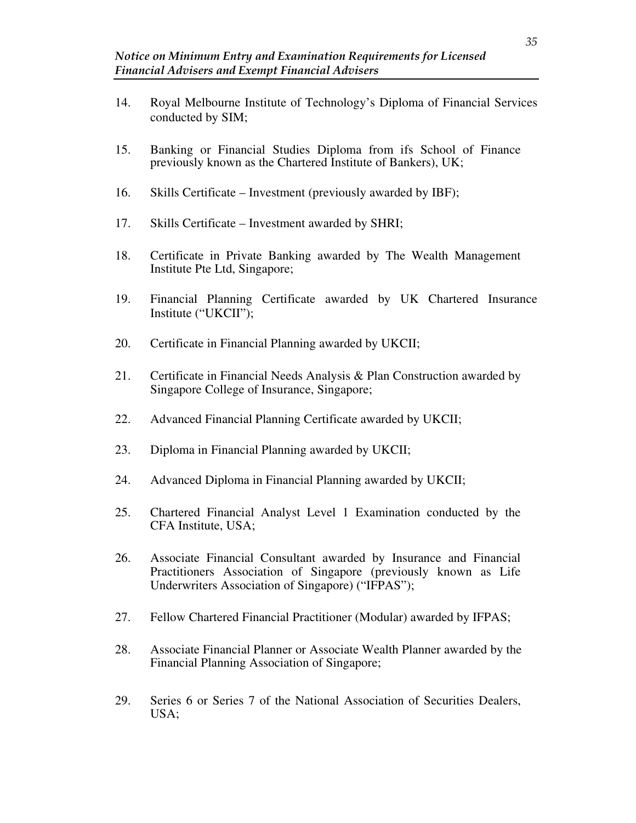- 14. Royal Melbourne Institute of Technology's Diploma of Financial Services conducted by SIM;
- 15. Banking or Financial Studies Diploma from ifs School of Finance previously known as the Chartered Institute of Bankers), UK;
- 16. Skills Certificate Investment (previously awarded by IBF);
- 17. Skills Certificate Investment awarded by SHRI;
- 18. Certificate in Private Banking awarded by The Wealth Management Institute Pte Ltd, Singapore;
- 19. Financial Planning Certificate awarded by UK Chartered Insurance Institute ("UKCII");
- 20. Certificate in Financial Planning awarded by UKCII;
- 21. Certificate in Financial Needs Analysis & Plan Construction awarded by Singapore College of Insurance, Singapore;
- 22. Advanced Financial Planning Certificate awarded by UKCII;
- 23. Diploma in Financial Planning awarded by UKCII;
- 24. Advanced Diploma in Financial Planning awarded by UKCII;
- 25. Chartered Financial Analyst Level 1 Examination conducted by the CFA Institute, USA;
- 26. Associate Financial Consultant awarded by Insurance and Financial Practitioners Association of Singapore (previously known as Life Underwriters Association of Singapore) ("IFPAS");
- 27. Fellow Chartered Financial Practitioner (Modular) awarded by IFPAS;
- 28. Associate Financial Planner or Associate Wealth Planner awarded by the Financial Planning Association of Singapore;
- 29. Series 6 or Series 7 of the National Association of Securities Dealers, USA;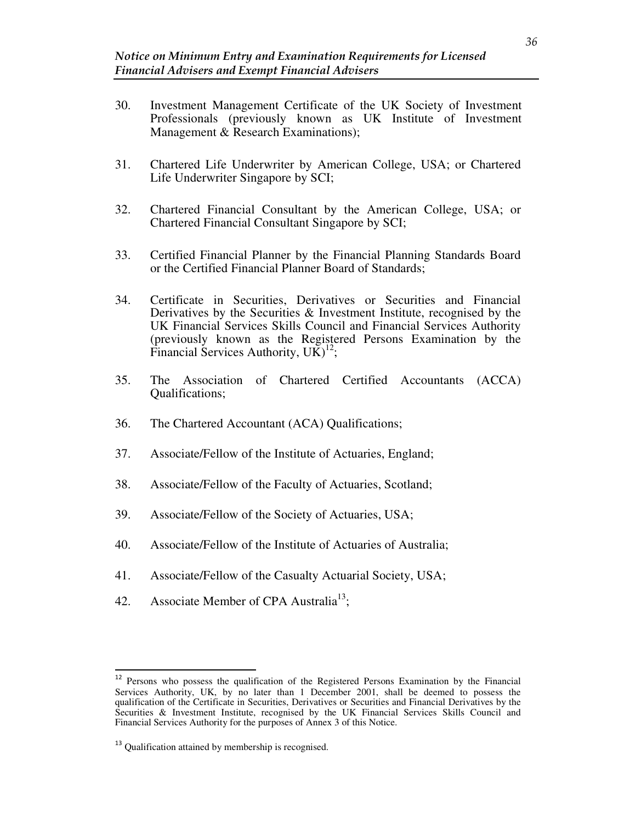- 30. Investment Management Certificate of the UK Society of Investment Professionals (previously known as UK Institute of Investment Management & Research Examinations);
- 31. Chartered Life Underwriter by American College, USA; or Chartered Life Underwriter Singapore by SCI;
- 32. Chartered Financial Consultant by the American College, USA; or Chartered Financial Consultant Singapore by SCI;
- 33. Certified Financial Planner by the Financial Planning Standards Board or the Certified Financial Planner Board of Standards;
- 34. Certificate in Securities, Derivatives or Securities and Financial Derivatives by the Securities & Investment Institute, recognised by the UK Financial Services Skills Council and Financial Services Authority (previously known as the Registered Persons Examination by the Financial Services Authority,  $U\tilde{K}$ <sup>12</sup>;
- 35. The Association of Chartered Certified Accountants (ACCA) Qualifications;
- 36. The Chartered Accountant (ACA) Qualifications;
- 37. Associate/Fellow of the Institute of Actuaries, England;
- 38. Associate/Fellow of the Faculty of Actuaries, Scotland;
- 39. Associate/Fellow of the Society of Actuaries, USA;
- 40. Associate/Fellow of the Institute of Actuaries of Australia;
- 41. Associate/Fellow of the Casualty Actuarial Society, USA;
- 42. Associate Member of CPA Australia<sup>13</sup>;

<sup>&</sup>lt;sup>12</sup> Persons who possess the qualification of the Registered Persons Examination by the Financial Services Authority, UK, by no later than 1 December 2001, shall be deemed to possess the qualification of the Certificate in Securities, Derivatives or Securities and Financial Derivatives by the Securities & Investment Institute, recognised by the UK Financial Services Skills Council and Financial Services Authority for the purposes of Annex 3 of this Notice.

<sup>&</sup>lt;sup>13</sup> Qualification attained by membership is recognised.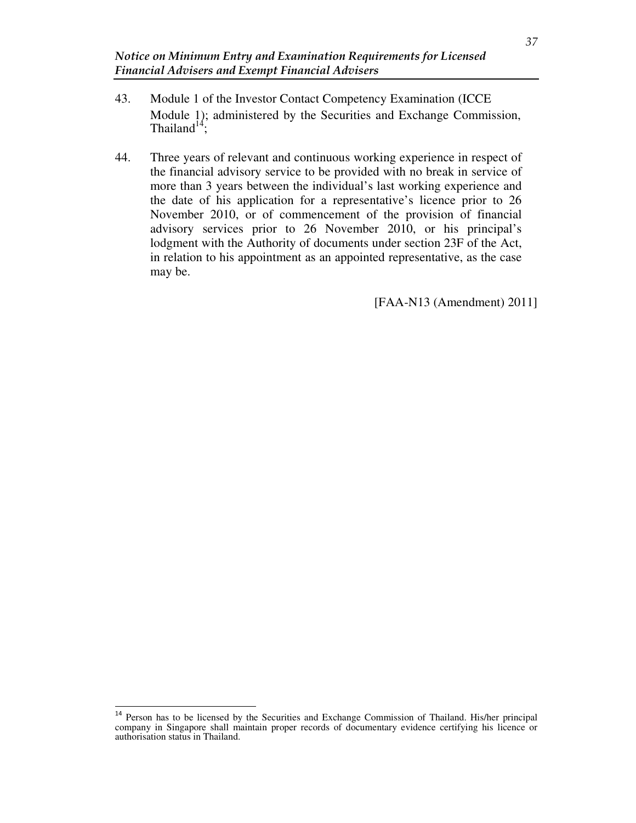- 43. Module 1 of the Investor Contact Competency Examination (ICCE Module 1); administered by the Securities and Exchange Commission, Thailand<sup>14</sup>;
- 44. Three years of relevant and continuous working experience in respect of the financial advisory service to be provided with no break in service of more than 3 years between the individual's last working experience and the date of his application for a representative's licence prior to 26 November 2010, or of commencement of the provision of financial advisory services prior to 26 November 2010, or his principal's lodgment with the Authority of documents under section 23F of the Act, in relation to his appointment as an appointed representative, as the case may be.

[FAA-N13 (Amendment) 2011]

<sup>&</sup>lt;sup>14</sup> Person has to be licensed by the Securities and Exchange Commission of Thailand. His/her principal company in Singapore shall maintain proper records of documentary evidence certifying his licence or authorisation status in Thailand.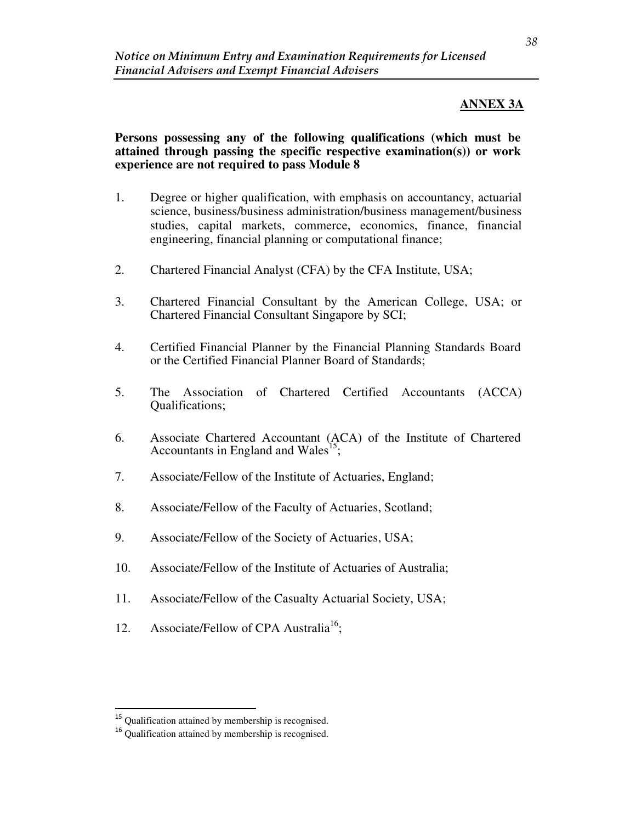## **ANNEX 3A**

### **Persons possessing any of the following qualifications (which must be attained through passing the specific respective examination(s)) or work experience are not required to pass Module 8**

- 1. Degree or higher qualification, with emphasis on accountancy, actuarial science, business/business administration/business management/business studies, capital markets, commerce, economics, finance, financial engineering, financial planning or computational finance;
- 2. Chartered Financial Analyst (CFA) by the CFA Institute, USA;
- 3. Chartered Financial Consultant by the American College, USA; or Chartered Financial Consultant Singapore by SCI;
- 4. Certified Financial Planner by the Financial Planning Standards Board or the Certified Financial Planner Board of Standards;
- 5. The Association of Chartered Certified Accountants (ACCA) Qualifications;
- 6. Associate Chartered Accountant (ACA) of the Institute of Chartered Accountants in England and Wales<sup>15</sup>;
- 7. Associate/Fellow of the Institute of Actuaries, England;
- 8. Associate/Fellow of the Faculty of Actuaries, Scotland;
- 9. Associate/Fellow of the Society of Actuaries, USA;
- 10. Associate/Fellow of the Institute of Actuaries of Australia;
- 11. Associate/Fellow of the Casualty Actuarial Society, USA;
- 12. Associate/Fellow of CPA Australia<sup>16</sup>;

<sup>&</sup>lt;sup>15</sup> Qualification attained by membership is recognised.

<sup>&</sup>lt;sup>16</sup> Qualification attained by membership is recognised.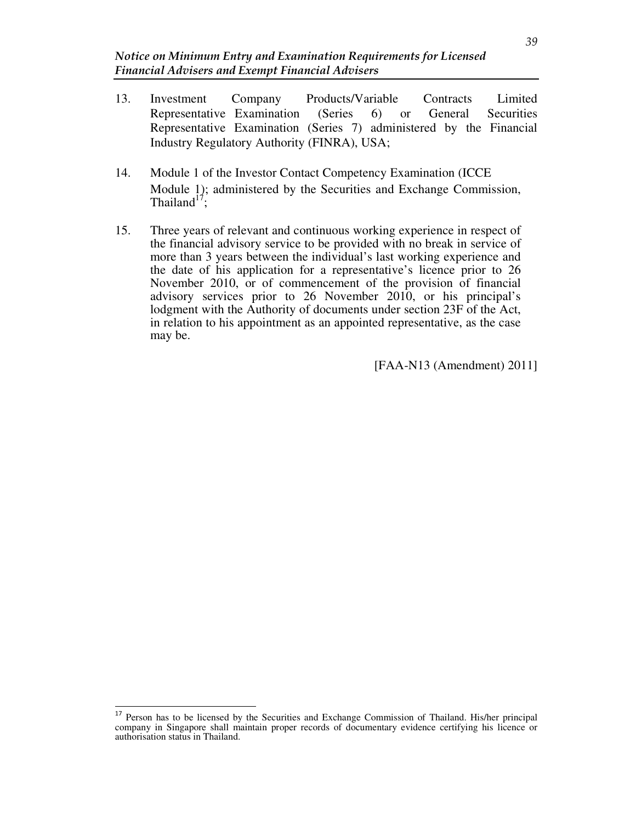- 13. Investment Company Products/Variable Contracts Limited Representative Examination (Series 6) or General Securities Representative Examination (Series 7) administered by the Financial Industry Regulatory Authority (FINRA), USA;
- 14. Module 1 of the Investor Contact Competency Examination (ICCE Module 1); administered by the Securities and Exchange Commission, Thailand<sup>17</sup>;
- 15. Three years of relevant and continuous working experience in respect of the financial advisory service to be provided with no break in service of more than 3 years between the individual's last working experience and the date of his application for a representative's licence prior to 26 November 2010, or of commencement of the provision of financial advisory services prior to 26 November 2010, or his principal's lodgment with the Authority of documents under section 23F of the Act, in relation to his appointment as an appointed representative, as the case may be.

[FAA-N13 (Amendment) 2011]

<sup>&</sup>lt;sup>17</sup> Person has to be licensed by the Securities and Exchange Commission of Thailand. His/her principal company in Singapore shall maintain proper records of documentary evidence certifying his licence or authorisation status in Thailand.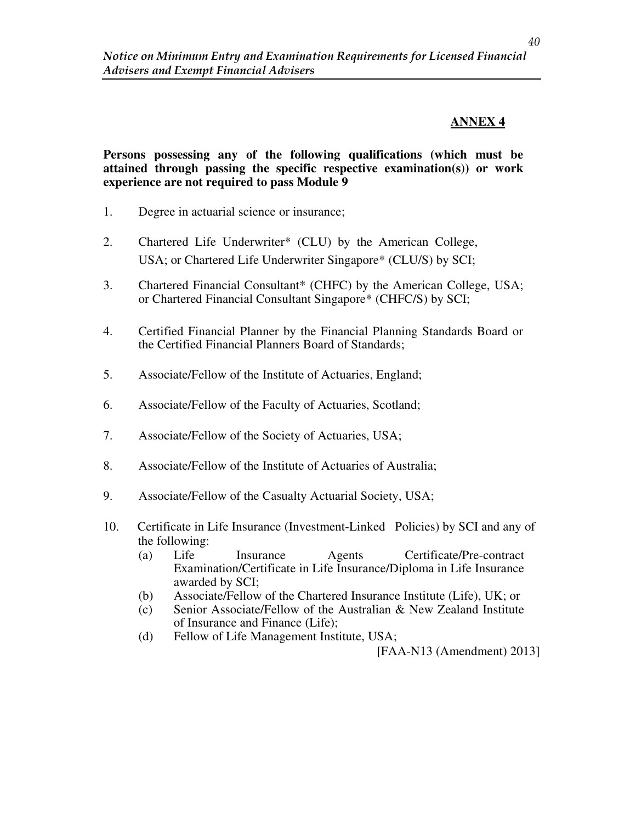## **ANNEX 4**

### **Persons possessing any of the following qualifications (which must be attained through passing the specific respective examination(s)) or work experience are not required to pass Module 9**

- 1. Degree in actuarial science or insurance;
- 2. Chartered Life Underwriter\* (CLU) by the American College, USA; or Chartered Life Underwriter Singapore\* (CLU/S) by SCI;
- 3. Chartered Financial Consultant\* (CHFC) by the American College, USA; or Chartered Financial Consultant Singapore\* (CHFC/S) by SCI;
- 4. Certified Financial Planner by the Financial Planning Standards Board or the Certified Financial Planners Board of Standards;
- 5. Associate/Fellow of the Institute of Actuaries, England;
- 6. Associate/Fellow of the Faculty of Actuaries, Scotland;
- 7. Associate/Fellow of the Society of Actuaries, USA;
- 8. Associate/Fellow of the Institute of Actuaries of Australia;
- 9. Associate/Fellow of the Casualty Actuarial Society, USA;
- 10. Certificate in Life Insurance (Investment-Linked Policies) by SCI and any of the following:
	- (a) Life Insurance Agents Certificate/Pre-contract Examination/Certificate in Life Insurance/Diploma in Life Insurance awarded by SCI;
	- (b) Associate/Fellow of the Chartered Insurance Institute (Life), UK; or
	- (c) Senior Associate/Fellow of the Australian & New Zealand Institute of Insurance and Finance (Life);
	- (d) Fellow of Life Management Institute, USA;

[FAA-N13 (Amendment) 2013]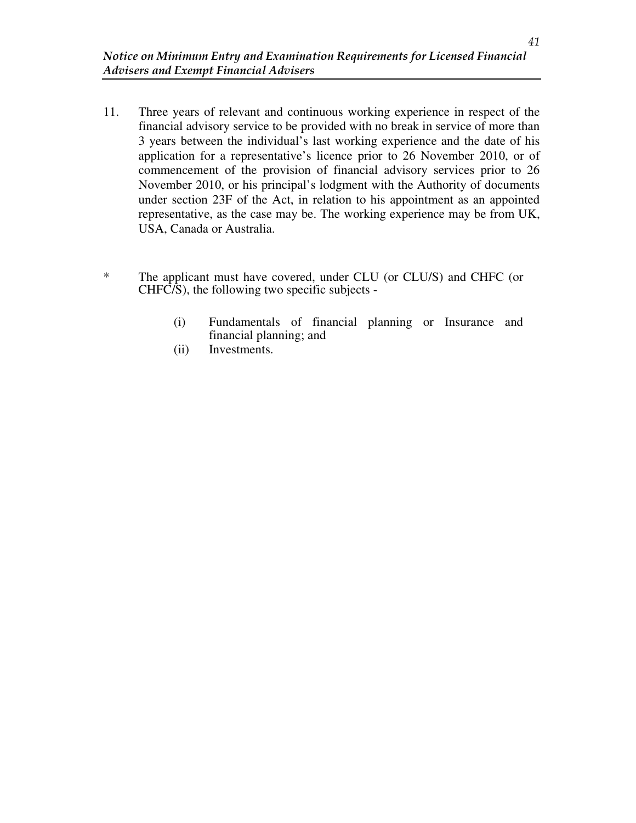- 11. Three years of relevant and continuous working experience in respect of the financial advisory service to be provided with no break in service of more than 3 years between the individual's last working experience and the date of his application for a representative's licence prior to 26 November 2010, or of commencement of the provision of financial advisory services prior to 26 November 2010, or his principal's lodgment with the Authority of documents under section 23F of the Act, in relation to his appointment as an appointed representative, as the case may be. The working experience may be from UK, USA, Canada or Australia.
- \* The applicant must have covered, under CLU (or CLU/S) and CHFC (or CHFC/S), the following two specific subjects -
	- (i) Fundamentals of financial planning or Insurance and financial planning; and
	- (ii) Investments.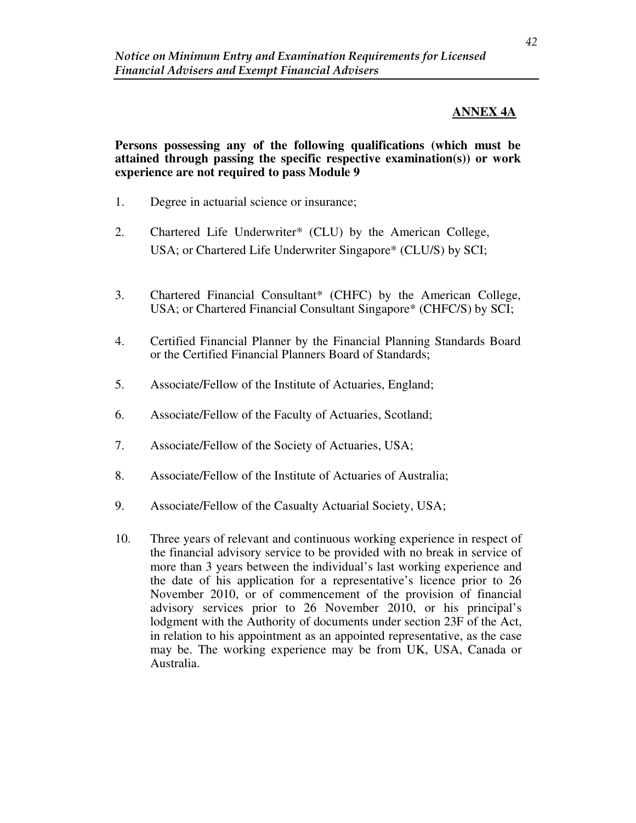# **ANNEX 4A**

### **Persons possessing any of the following qualifications (which must be attained through passing the specific respective examination(s)) or work experience are not required to pass Module 9**

- 1. Degree in actuarial science or insurance;
- 2. Chartered Life Underwriter\* (CLU) by the American College, USA; or Chartered Life Underwriter Singapore\* (CLU/S) by SCI;
- 3. Chartered Financial Consultant\* (CHFC) by the American College, USA; or Chartered Financial Consultant Singapore\* (CHFC/S) by SCI;
- 4. Certified Financial Planner by the Financial Planning Standards Board or the Certified Financial Planners Board of Standards;
- 5. Associate/Fellow of the Institute of Actuaries, England;
- 6. Associate/Fellow of the Faculty of Actuaries, Scotland;
- 7. Associate/Fellow of the Society of Actuaries, USA;
- 8. Associate/Fellow of the Institute of Actuaries of Australia;
- 9. Associate/Fellow of the Casualty Actuarial Society, USA;
- 10. Three years of relevant and continuous working experience in respect of the financial advisory service to be provided with no break in service of more than 3 years between the individual's last working experience and the date of his application for a representative's licence prior to 26 November 2010, or of commencement of the provision of financial advisory services prior to 26 November 2010, or his principal's lodgment with the Authority of documents under section 23F of the Act, in relation to his appointment as an appointed representative, as the case may be. The working experience may be from UK, USA, Canada or Australia.